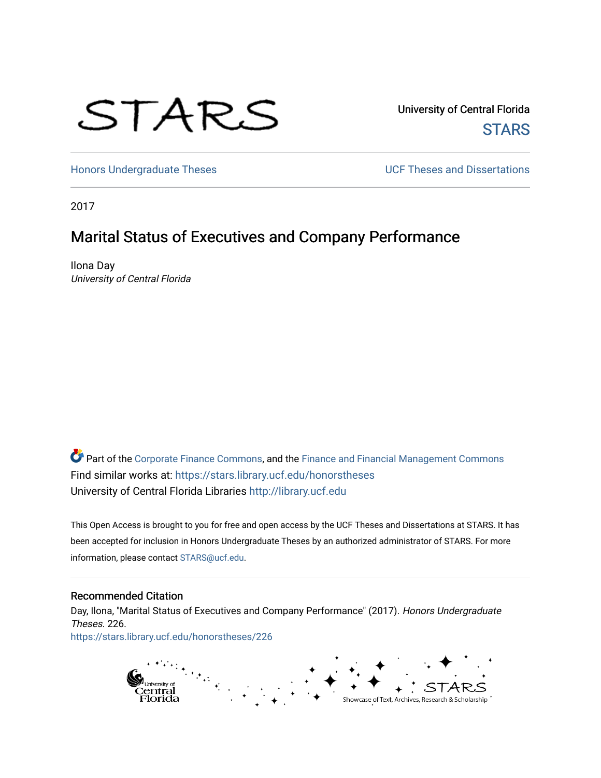# STARS

University of Central Florida **STARS** 

[Honors Undergraduate Theses](https://stars.library.ucf.edu/honorstheses) **Exercise 2 and Serverse** UCF Theses and Dissertations

2017

# Marital Status of Executives and Company Performance

Ilona Day University of Central Florida

Part of the [Corporate Finance Commons](http://network.bepress.com/hgg/discipline/629?utm_source=stars.library.ucf.edu%2Fhonorstheses%2F226&utm_medium=PDF&utm_campaign=PDFCoverPages), and the Finance and Financial Management Commons Find similar works at: <https://stars.library.ucf.edu/honorstheses> University of Central Florida Libraries [http://library.ucf.edu](http://library.ucf.edu/) 

This Open Access is brought to you for free and open access by the UCF Theses and Dissertations at STARS. It has been accepted for inclusion in Honors Undergraduate Theses by an authorized administrator of STARS. For more information, please contact [STARS@ucf.edu.](mailto:STARS@ucf.edu)

#### Recommended Citation

Day, Ilona, "Marital Status of Executives and Company Performance" (2017). Honors Undergraduate Theses. 226. [https://stars.library.ucf.edu/honorstheses/226](https://stars.library.ucf.edu/honorstheses/226?utm_source=stars.library.ucf.edu%2Fhonorstheses%2F226&utm_medium=PDF&utm_campaign=PDFCoverPages) 

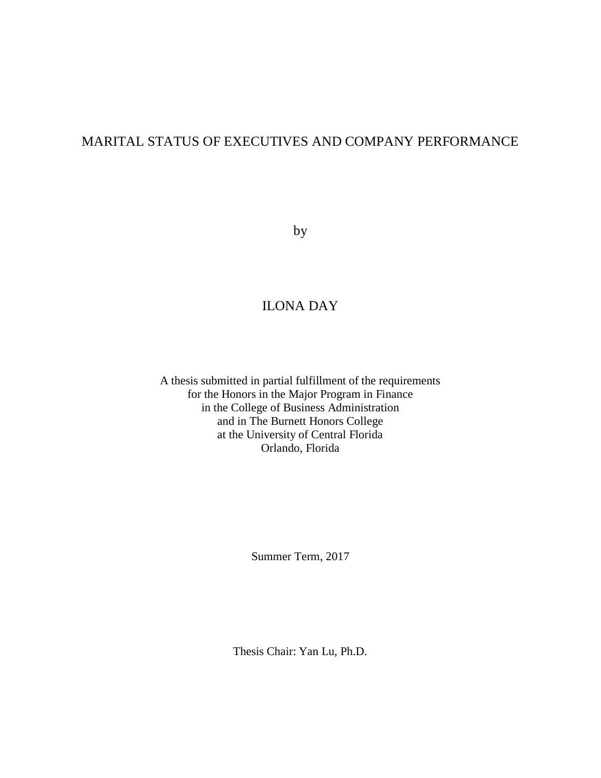# MARITAL STATUS OF EXECUTIVES AND COMPANY PERFORMANCE

by

# ILONA DAY

A thesis submitted in partial fulfillment of the requirements for the Honors in the Major Program in Finance in the College of Business Administration and in The Burnett Honors College at the University of Central Florida Orlando, Florida

Summer Term, 2017

Thesis Chair: Yan Lu, Ph.D.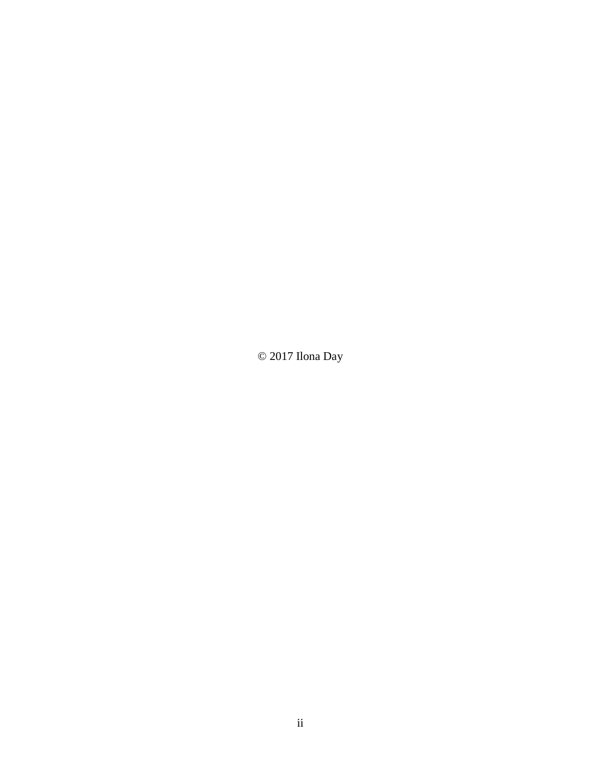© 2017 Ilona Day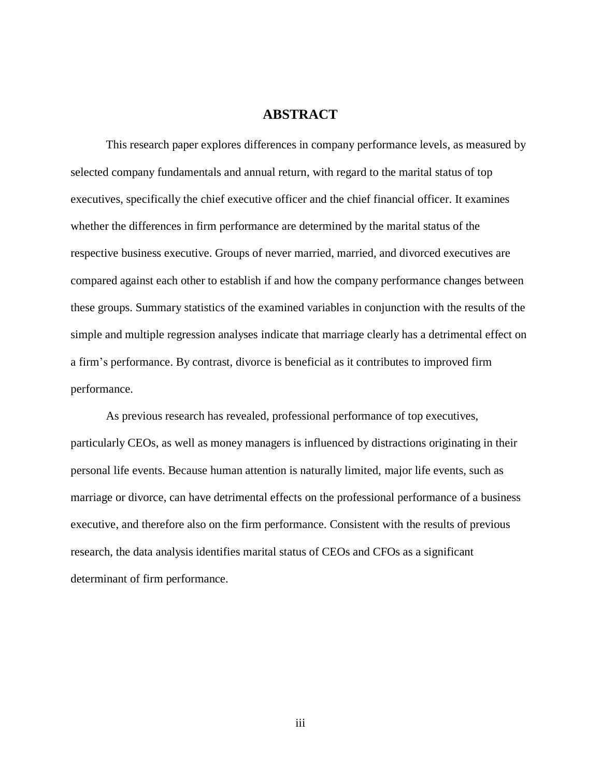## **ABSTRACT**

This research paper explores differences in company performance levels, as measured by selected company fundamentals and annual return, with regard to the marital status of top executives, specifically the chief executive officer and the chief financial officer. It examines whether the differences in firm performance are determined by the marital status of the respective business executive. Groups of never married, married, and divorced executives are compared against each other to establish if and how the company performance changes between these groups. Summary statistics of the examined variables in conjunction with the results of the simple and multiple regression analyses indicate that marriage clearly has a detrimental effect on a firm's performance. By contrast, divorce is beneficial as it contributes to improved firm performance.

As previous research has revealed, professional performance of top executives, particularly CEOs, as well as money managers is influenced by distractions originating in their personal life events. Because human attention is naturally limited, major life events, such as marriage or divorce, can have detrimental effects on the professional performance of a business executive, and therefore also on the firm performance. Consistent with the results of previous research, the data analysis identifies marital status of CEOs and CFOs as a significant determinant of firm performance.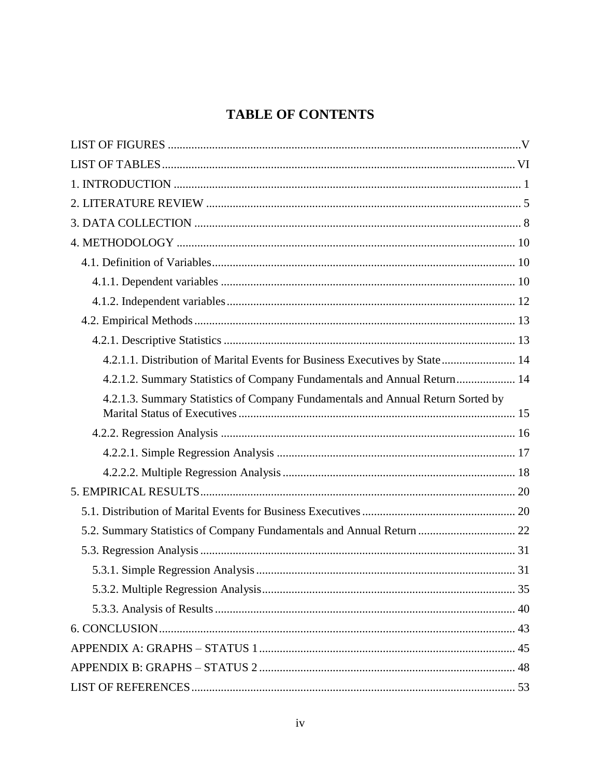# **TABLE OF CONTENTS**

| 4.2.1.1. Distribution of Marital Events for Business Executives by State 14     |
|---------------------------------------------------------------------------------|
| 4.2.1.2. Summary Statistics of Company Fundamentals and Annual Return 14        |
| 4.2.1.3. Summary Statistics of Company Fundamentals and Annual Return Sorted by |
|                                                                                 |
|                                                                                 |
|                                                                                 |
|                                                                                 |
|                                                                                 |
| 5.2. Summary Statistics of Company Fundamentals and Annual Return  22           |
|                                                                                 |
|                                                                                 |
|                                                                                 |
|                                                                                 |
|                                                                                 |
|                                                                                 |
|                                                                                 |
|                                                                                 |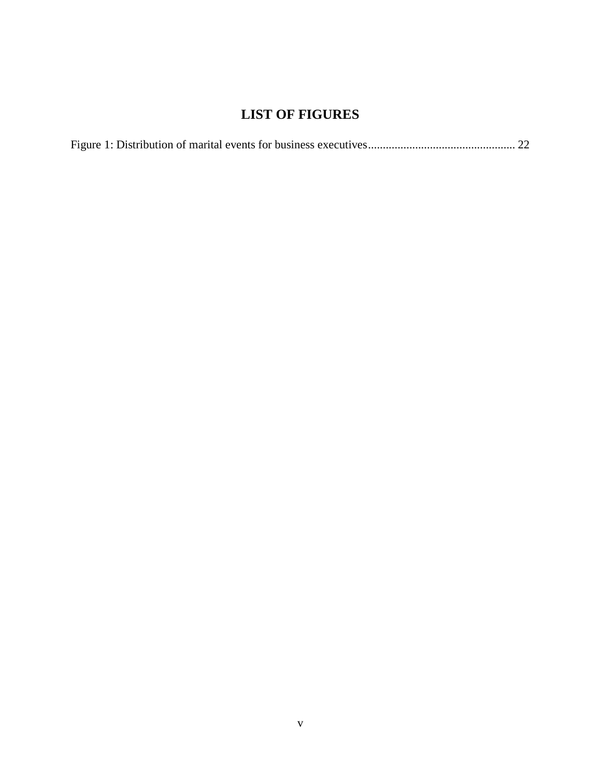# <span id="page-5-0"></span>**LIST OF FIGURES**

|--|--|--|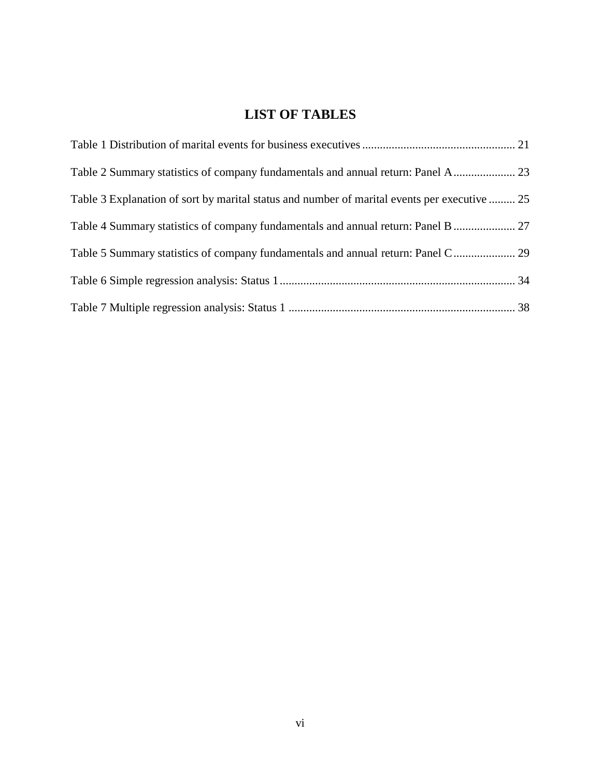# **LIST OF TABLES**

<span id="page-6-0"></span>

| Table 3 Explanation of sort by marital status and number of marital events per executive  25 |  |
|----------------------------------------------------------------------------------------------|--|
|                                                                                              |  |
|                                                                                              |  |
|                                                                                              |  |
|                                                                                              |  |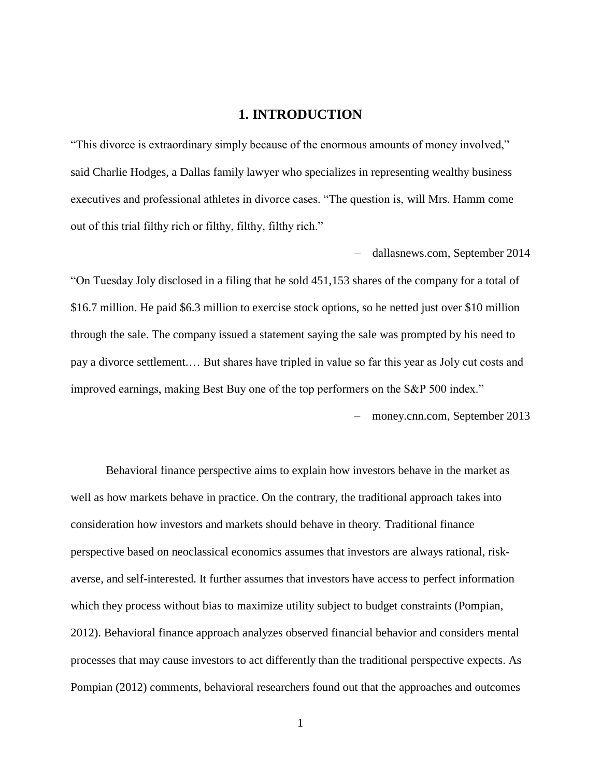## **1. INTRODUCTION**

<span id="page-7-0"></span>"This divorce is extraordinary simply because of the enormous amounts of money involved," said Charlie Hodges, a Dallas family lawyer who specializes in representing wealthy business executives and professional athletes in divorce cases. "The question is, will Mrs. Hamm come out of this trial filthy rich or filthy, filthy, filthy rich."

– [dallasnews.com,](http://www.dallasnews.com/business/business/2014/09/01/could-a-ceos-divorce-materially-affect-a-companys-future) September 2014

"On Tuesday Joly disclosed in a filing that he sold 451,153 shares of the company for a total of \$16.7 million. He paid \$6.3 million to exercise stock options, so he netted just over \$10 million through the sale. The company issued a statement saying the sale was prompted by his need to pay a divorce settlement.… But shares have tripled in value so far this year as Joly cut costs and improved earnings, making Best Buy one of the top performers on the S&P 500 index."

– [money.cnn.com,](http://money.cnn.com/2013/09/11/news/companies/best-buy-ceo-divorce/index.html) September 2013

Behavioral finance perspective aims to explain how investors behave in the market as well as how markets behave in practice. On the contrary, the traditional approach takes into consideration how investors and markets should behave in theory. Traditional finance perspective based on neoclassical economics assumes that investors are always rational, riskaverse, and self-interested. It further assumes that investors have access to perfect information which they process without bias to maximize utility subject to budget constraints (Pompian, 2012). Behavioral finance approach analyzes observed financial behavior and considers mental processes that may cause investors to act differently than the traditional perspective expects. As Pompian (2012) comments, behavioral researchers found out that the approaches and outcomes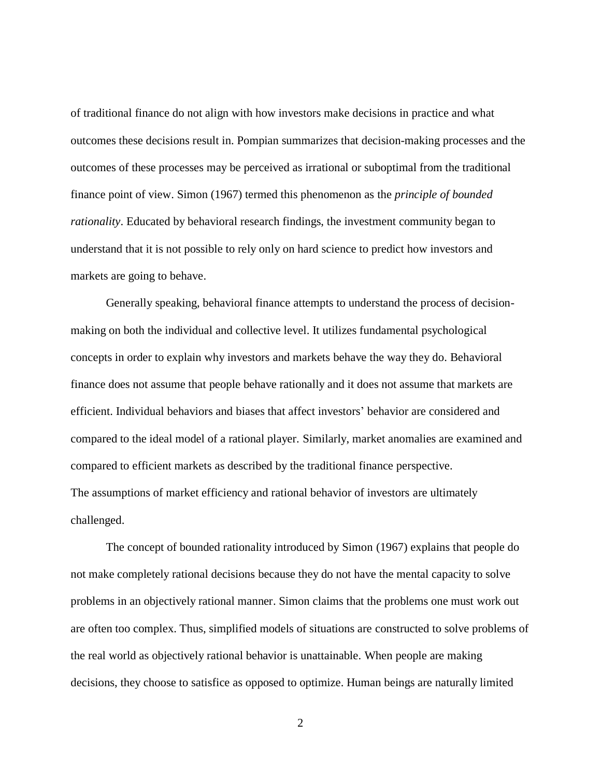of traditional finance do not align with how investors make decisions in practice and what outcomes these decisions result in. Pompian summarizes that decision-making processes and the outcomes of these processes may be perceived as irrational or suboptimal from the traditional finance point of view. Simon (1967) termed this phenomenon as the *principle of bounded rationality*. Educated by behavioral research findings, the investment community began to understand that it is not possible to rely only on hard science to predict how investors and markets are going to behave.

Generally speaking, behavioral finance attempts to understand the process of decisionmaking on both the individual and collective level. It utilizes fundamental psychological concepts in order to explain why investors and markets behave the way they do. Behavioral finance does not assume that people behave rationally and it does not assume that markets are efficient. Individual behaviors and biases that affect investors' behavior are considered and compared to the ideal model of a rational player. Similarly, market anomalies are examined and compared to efficient markets as described by the traditional finance perspective. The assumptions of market efficiency and rational behavior of investors are ultimately challenged.

The concept of bounded rationality introduced by Simon (1967) explains that people do not make completely rational decisions because they do not have the mental capacity to solve problems in an objectively rational manner. Simon claims that the problems one must work out are often too complex. Thus, simplified models of situations are constructed to solve problems of the real world as objectively rational behavior is unattainable. When people are making decisions, they choose to satisfice as opposed to optimize. Human beings are naturally limited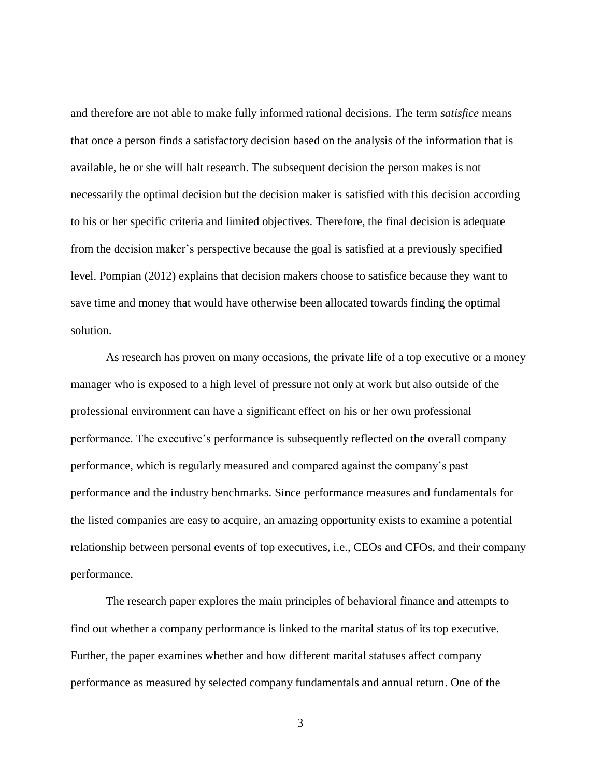and therefore are not able to make fully informed rational decisions. The term *satisfice* means that once a person finds a satisfactory decision based on the analysis of the information that is available, he or she will halt research. The subsequent decision the person makes is not necessarily the optimal decision but the decision maker is satisfied with this decision according to his or her specific criteria and limited objectives. Therefore, the final decision is adequate from the decision maker's perspective because the goal is satisfied at a previously specified level. Pompian (2012) explains that decision makers choose to satisfice because they want to save time and money that would have otherwise been allocated towards finding the optimal solution.

As research has proven on many occasions, the private life of a top executive or a money manager who is exposed to a high level of pressure not only at work but also outside of the professional environment can have a significant effect on his or her own professional performance. The executive's performance is subsequently reflected on the overall company performance, which is regularly measured and compared against the company's past performance and the industry benchmarks. Since performance measures and fundamentals for the listed companies are easy to acquire, an amazing opportunity exists to examine a potential relationship between personal events of top executives, i.e., CEOs and CFOs, and their company performance.

The research paper explores the main principles of behavioral finance and attempts to find out whether a company performance is linked to the marital status of its top executive. Further, the paper examines whether and how different marital statuses affect company performance as measured by selected company fundamentals and annual return. One of the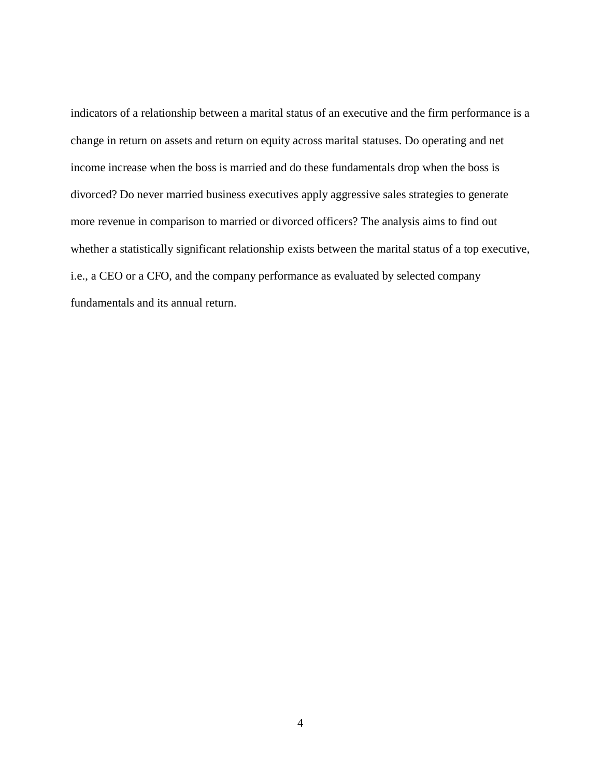indicators of a relationship between a marital status of an executive and the firm performance is a change in return on assets and return on equity across marital statuses. Do operating and net income increase when the boss is married and do these fundamentals drop when the boss is divorced? Do never married business executives apply aggressive sales strategies to generate more revenue in comparison to married or divorced officers? The analysis aims to find out whether a statistically significant relationship exists between the marital status of a top executive, i.e., a CEO or a CFO, and the company performance as evaluated by selected company fundamentals and its annual return.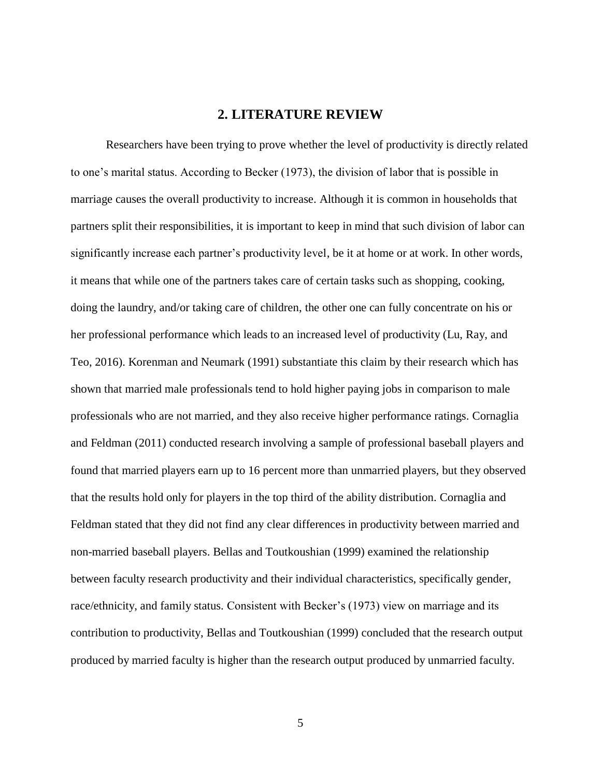## **2. LITERATURE REVIEW**

<span id="page-11-0"></span>Researchers have been trying to prove whether the level of productivity is directly related to one's marital status. According to Becker (1973), the division of labor that is possible in marriage causes the overall productivity to increase. Although it is common in households that partners split their responsibilities, it is important to keep in mind that such division of labor can significantly increase each partner's productivity level, be it at home or at work. In other words, it means that while one of the partners takes care of certain tasks such as shopping, cooking, doing the laundry, and/or taking care of children, the other one can fully concentrate on his or her professional performance which leads to an increased level of productivity (Lu, Ray, and Teo, 2016). Korenman and Neumark (1991) substantiate this claim by their research which has shown that married male professionals tend to hold higher paying jobs in comparison to male professionals who are not married, and they also receive higher performance ratings. Cornaglia and Feldman (2011) conducted research involving a sample of professional baseball players and found that married players earn up to 16 percent more than unmarried players, but they observed that the results hold only for players in the top third of the ability distribution. Cornaglia and Feldman stated that they did not find any clear differences in productivity between married and non-married baseball players. Bellas and Toutkoushian (1999) examined the relationship between faculty research productivity and their individual characteristics, specifically gender, race/ethnicity, and family status. Consistent with Becker's (1973) view on marriage and its contribution to productivity, Bellas and Toutkoushian (1999) concluded that the research output produced by married faculty is higher than the research output produced by unmarried faculty.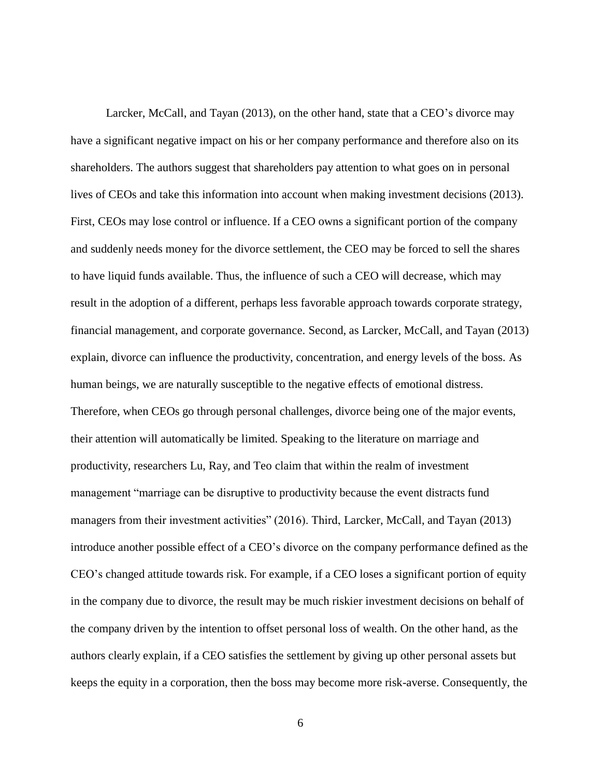Larcker, McCall, and Tayan (2013), on the other hand, state that a CEO's divorce may have a significant negative impact on his or her company performance and therefore also on its shareholders. The authors suggest that shareholders pay attention to what goes on in personal lives of CEOs and take this information into account when making investment decisions (2013). First, CEOs may lose control or influence. If a CEO owns a significant portion of the company and suddenly needs money for the divorce settlement, the CEO may be forced to sell the shares to have liquid funds available. Thus, the influence of such a CEO will decrease, which may result in the adoption of a different, perhaps less favorable approach towards corporate strategy, financial management, and corporate governance. Second, as Larcker, McCall, and Tayan (2013) explain, divorce can influence the productivity, concentration, and energy levels of the boss. As human beings, we are naturally susceptible to the negative effects of emotional distress. Therefore, when CEOs go through personal challenges, divorce being one of the major events, their attention will automatically be limited. Speaking to the literature on marriage and productivity, researchers Lu, Ray, and Teo claim that within the realm of investment management "marriage can be disruptive to productivity because the event distracts fund managers from their investment activities" (2016). Third, Larcker, McCall, and Tayan (2013) introduce another possible effect of a CEO's divorce on the company performance defined as the CEO's changed attitude towards risk. For example, if a CEO loses a significant portion of equity in the company due to divorce, the result may be much riskier investment decisions on behalf of the company driven by the intention to offset personal loss of wealth. On the other hand, as the authors clearly explain, if a CEO satisfies the settlement by giving up other personal assets but keeps the equity in a corporation, then the boss may become more risk-averse. Consequently, the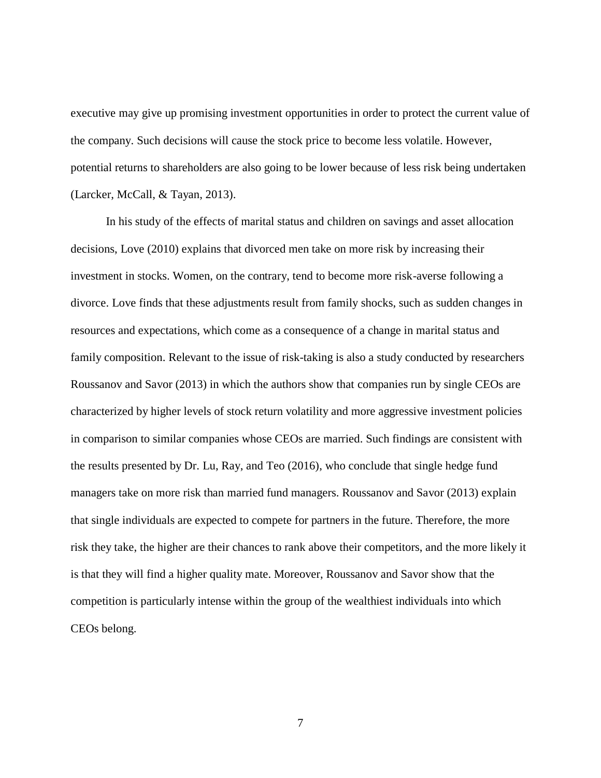executive may give up promising investment opportunities in order to protect the current value of the company. Such decisions will cause the stock price to become less volatile. However, potential returns to shareholders are also going to be lower because of less risk being undertaken (Larcker, McCall, & Tayan, 2013).

In his study of the effects of marital status and children on savings and asset allocation decisions, Love (2010) explains that divorced men take on more risk by increasing their investment in stocks. Women, on the contrary, tend to become more risk-averse following a divorce. Love finds that these adjustments result from family shocks, such as sudden changes in resources and expectations, which come as a consequence of a change in marital status and family composition. Relevant to the issue of risk-taking is also a study conducted by researchers Roussanov and Savor (2013) in which the authors show that companies run by single CEOs are characterized by higher levels of stock return volatility and more aggressive investment policies in comparison to similar companies whose CEOs are married. Such findings are consistent with the results presented by Dr. Lu, Ray, and Teo (2016), who conclude that single hedge fund managers take on more risk than married fund managers. Roussanov and Savor (2013) explain that single individuals are expected to compete for partners in the future. Therefore, the more risk they take, the higher are their chances to rank above their competitors, and the more likely it is that they will find a higher quality mate. Moreover, Roussanov and Savor show that the competition is particularly intense within the group of the wealthiest individuals into which CEOs belong.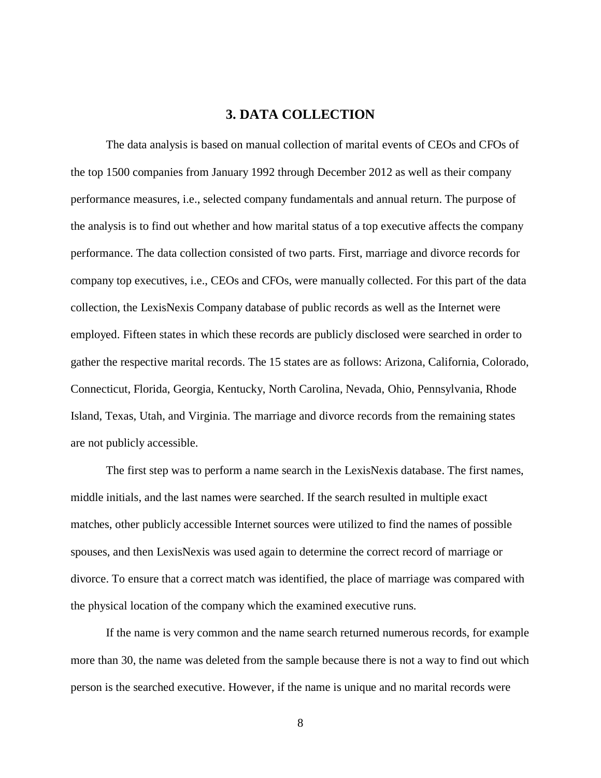## **3. DATA COLLECTION**

<span id="page-14-0"></span>The data analysis is based on manual collection of marital events of CEOs and CFOs of the top 1500 companies from January 1992 through December 2012 as well as their company performance measures, i.e., selected company fundamentals and annual return. The purpose of the analysis is to find out whether and how marital status of a top executive affects the company performance. The data collection consisted of two parts. First, marriage and divorce records for company top executives, i.e., CEOs and CFOs, were manually collected. For this part of the data collection, the LexisNexis Company database of public records as well as the Internet were employed. Fifteen states in which these records are publicly disclosed were searched in order to gather the respective marital records. The 15 states are as follows: Arizona, California, Colorado, Connecticut, Florida, Georgia, Kentucky, North Carolina, Nevada, Ohio, Pennsylvania, Rhode Island, Texas, Utah, and Virginia. The marriage and divorce records from the remaining states are not publicly accessible.

The first step was to perform a name search in the LexisNexis database. The first names, middle initials, and the last names were searched. If the search resulted in multiple exact matches, other publicly accessible Internet sources were utilized to find the names of possible spouses, and then LexisNexis was used again to determine the correct record of marriage or divorce. To ensure that a correct match was identified, the place of marriage was compared with the physical location of the company which the examined executive runs.

If the name is very common and the name search returned numerous records, for example more than 30, the name was deleted from the sample because there is not a way to find out which person is the searched executive. However, if the name is unique and no marital records were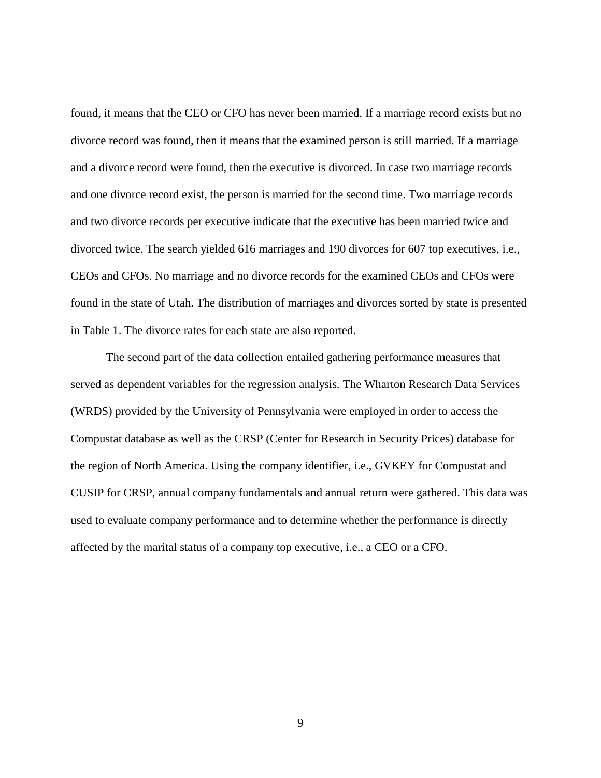found, it means that the CEO or CFO has never been married. If a marriage record exists but no divorce record was found, then it means that the examined person is still married. If a marriage and a divorce record were found, then the executive is divorced. In case two marriage records and one divorce record exist, the person is married for the second time. Two marriage records and two divorce records per executive indicate that the executive has been married twice and divorced twice. The search yielded 616 marriages and 190 divorces for 607 top executives, i.e., CEOs and CFOs. No marriage and no divorce records for the examined CEOs and CFOs were found in the state of Utah. The distribution of marriages and divorces sorted by state is presented in Table 1. The divorce rates for each state are also reported.

The second part of the data collection entailed gathering performance measures that served as dependent variables for the regression analysis. The Wharton Research Data Services (WRDS) provided by the University of Pennsylvania were employed in order to access the Compustat database as well as the CRSP (Center for Research in Security Prices) database for the region of North America. Using the company identifier, i.e., GVKEY for Compustat and CUSIP for CRSP, annual company fundamentals and annual return were gathered. This data was used to evaluate company performance and to determine whether the performance is directly affected by the marital status of a company top executive, i.e., a CEO or a CFO.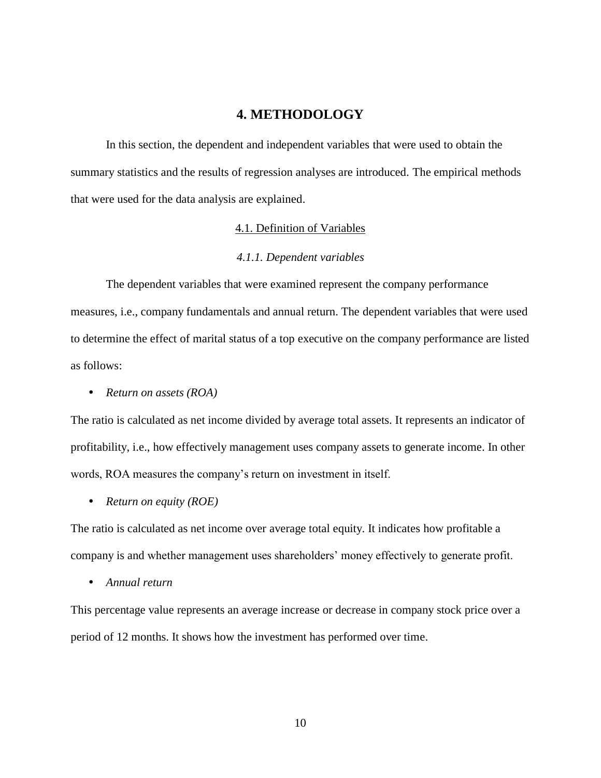## **4. METHODOLOGY**

<span id="page-16-0"></span>In this section, the dependent and independent variables that were used to obtain the summary statistics and the results of regression analyses are introduced. The empirical methods that were used for the data analysis are explained.

#### 4.1. Definition of Variables

#### *4.1.1. Dependent variables*

<span id="page-16-2"></span><span id="page-16-1"></span>The dependent variables that were examined represent the company performance measures, i.e., company fundamentals and annual return. The dependent variables that were used to determine the effect of marital status of a top executive on the company performance are listed as follows:

*Return on assets (ROA)*

The ratio is calculated as net income divided by average total assets. It represents an indicator of profitability, i.e., how effectively management uses company assets to generate income. In other words, ROA measures the company's return on investment in itself.

*Return on equity (ROE)*

The ratio is calculated as net income over average total equity. It indicates how profitable a company is and whether management uses shareholders' money effectively to generate profit.

*Annual return*

This percentage value represents an average increase or decrease in company stock price over a period of 12 months. It shows how the investment has performed over time.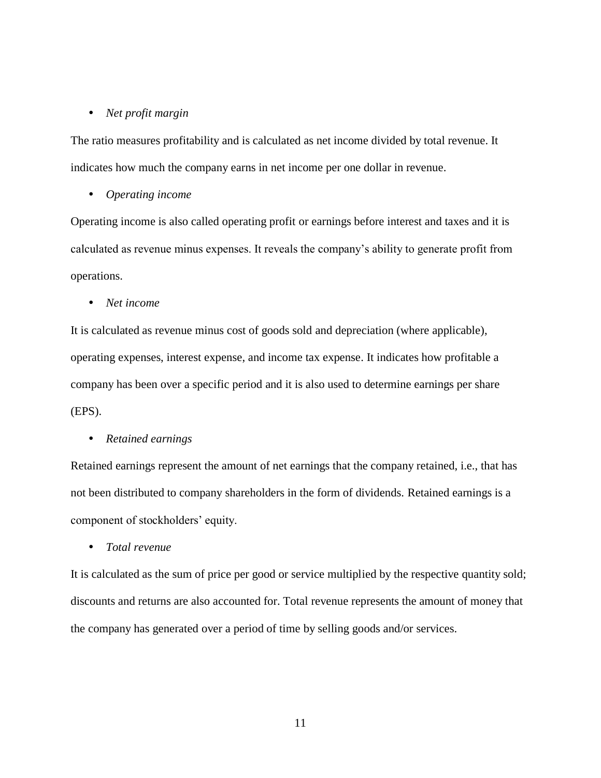#### *Net profit margin*

The ratio measures profitability and is calculated as net income divided by total revenue. It indicates how much the company earns in net income per one dollar in revenue.

#### *Operating income*

Operating income is also called operating profit or earnings before interest and taxes and it is calculated as revenue minus expenses. It reveals the company's ability to generate profit from operations.

*Net income*

It is calculated as revenue minus cost of goods sold and depreciation (where applicable), operating expenses, interest expense, and income tax expense. It indicates how profitable a company has been over a specific period and it is also used to determine earnings per share (EPS).

#### *Retained earnings*

Retained earnings represent the amount of net earnings that the company retained, i.e., that has not been distributed to company shareholders in the form of dividends. Retained earnings is a component of stockholders' equity.

*Total revenue*

It is calculated as the sum of price per good or service multiplied by the respective quantity sold; discounts and returns are also accounted for. Total revenue represents the amount of money that the company has generated over a period of time by selling goods and/or services.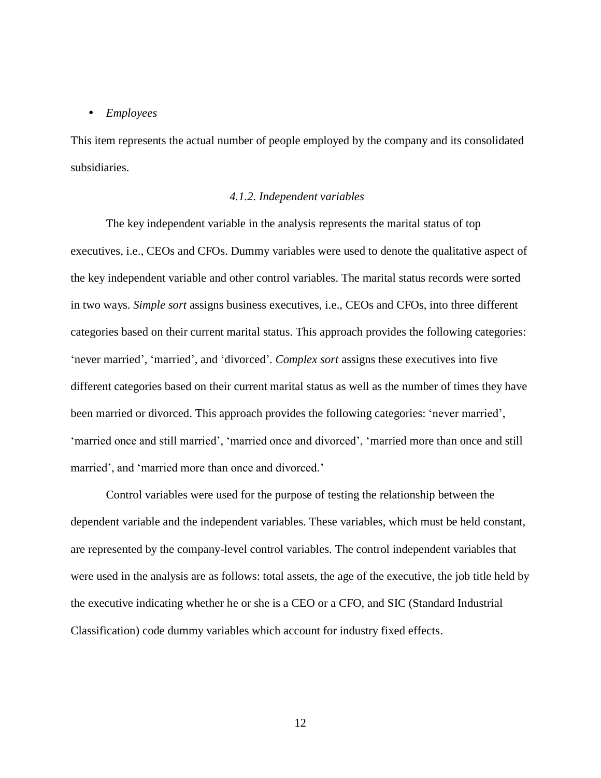#### *Employees*

This item represents the actual number of people employed by the company and its consolidated subsidiaries.

#### *4.1.2. Independent variables*

<span id="page-18-0"></span>The key independent variable in the analysis represents the marital status of top executives, i.e., CEOs and CFOs. Dummy variables were used to denote the qualitative aspect of the key independent variable and other control variables. The marital status records were sorted in two ways. *Simple sort* assigns business executives, i.e., CEOs and CFOs, into three different categories based on their current marital status. This approach provides the following categories: 'never married', 'married', and 'divorced'. *Complex sort* assigns these executives into five different categories based on their current marital status as well as the number of times they have been married or divorced. This approach provides the following categories: 'never married', 'married once and still married', 'married once and divorced', 'married more than once and still married', and 'married more than once and divorced.'

Control variables were used for the purpose of testing the relationship between the dependent variable and the independent variables. These variables, which must be held constant, are represented by the company-level control variables. The control independent variables that were used in the analysis are as follows: total assets, the age of the executive, the job title held by the executive indicating whether he or she is a CEO or a CFO, and SIC (Standard Industrial Classification) code dummy variables which account for industry fixed effects.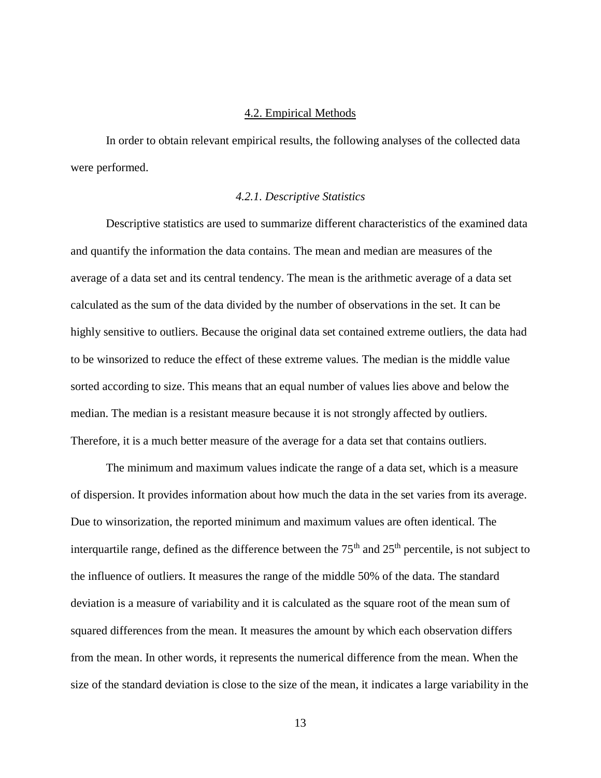#### 4.2. Empirical Methods

<span id="page-19-0"></span>In order to obtain relevant empirical results, the following analyses of the collected data were performed.

#### *4.2.1. Descriptive Statistics*

<span id="page-19-1"></span>Descriptive statistics are used to summarize different characteristics of the examined data and quantify the information the data contains. The mean and median are measures of the average of a data set and its central tendency. The mean is the arithmetic average of a data set calculated as the sum of the data divided by the number of observations in the set. It can be highly sensitive to outliers. Because the original data set contained extreme outliers, the data had to be winsorized to reduce the effect of these extreme values. The median is the middle value sorted according to size. This means that an equal number of values lies above and below the median. The median is a resistant measure because it is not strongly affected by outliers. Therefore, it is a much better measure of the average for a data set that contains outliers.

The minimum and maximum values indicate the range of a data set, which is a measure of dispersion. It provides information about how much the data in the set varies from its average. Due to winsorization, the reported minimum and maximum values are often identical. The interquartile range, defined as the difference between the  $75<sup>th</sup>$  and  $25<sup>th</sup>$  percentile, is not subject to the influence of outliers. It measures the range of the middle 50% of the data. The standard deviation is a measure of variability and it is calculated as the square root of the mean sum of squared differences from the mean. It measures the amount by which each observation differs from the mean. In other words, it represents the numerical difference from the mean. When the size of the standard deviation is close to the size of the mean, it indicates a large variability in the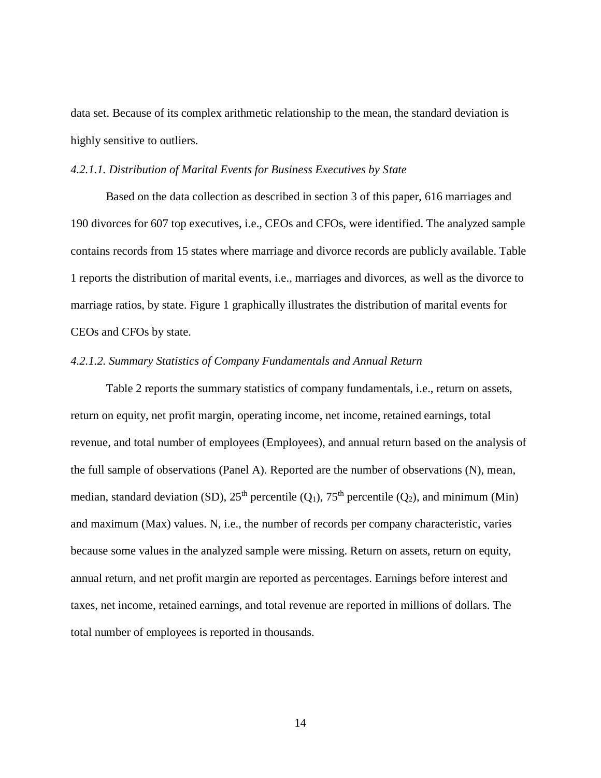data set. Because of its complex arithmetic relationship to the mean, the standard deviation is highly sensitive to outliers.

#### <span id="page-20-0"></span>*4.2.1.1. Distribution of Marital Events for Business Executives by State*

Based on the data collection as described in section 3 of this paper, 616 marriages and 190 divorces for 607 top executives, i.e., CEOs and CFOs, were identified. The analyzed sample contains records from 15 states where marriage and divorce records are publicly available. Table 1 reports the distribution of marital events, i.e., marriages and divorces, as well as the divorce to marriage ratios, by state. Figure 1 graphically illustrates the distribution of marital events for CEOs and CFOs by state.

#### <span id="page-20-1"></span>*4.2.1.2. Summary Statistics of Company Fundamentals and Annual Return*

Table 2 reports the summary statistics of company fundamentals, i.e., return on assets, return on equity, net profit margin, operating income, net income, retained earnings, total revenue, and total number of employees (Employees), and annual return based on the analysis of the full sample of observations (Panel A). Reported are the number of observations (N), mean, median, standard deviation (SD),  $25<sup>th</sup>$  percentile (Q<sub>1</sub>),  $75<sup>th</sup>$  percentile (Q<sub>2</sub>), and minimum (Min) and maximum (Max) values. N, i.e., the number of records per company characteristic, varies because some values in the analyzed sample were missing. Return on assets, return on equity, annual return, and net profit margin are reported as percentages. Earnings before interest and taxes, net income, retained earnings, and total revenue are reported in millions of dollars. The total number of employees is reported in thousands.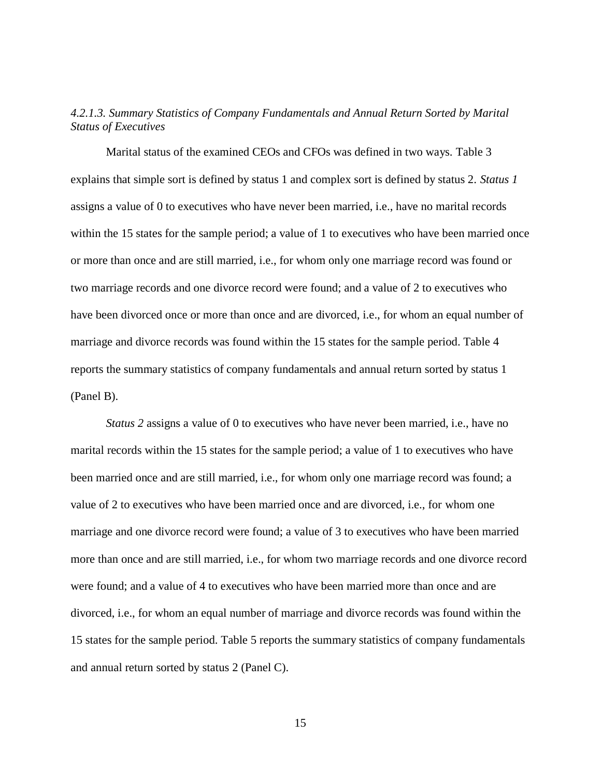## <span id="page-21-0"></span>*4.2.1.3. Summary Statistics of Company Fundamentals and Annual Return Sorted by Marital Status of Executives*

Marital status of the examined CEOs and CFOs was defined in two ways. Table 3 explains that simple sort is defined by status 1 and complex sort is defined by status 2. *Status 1* assigns a value of 0 to executives who have never been married, i.e., have no marital records within the 15 states for the sample period; a value of 1 to executives who have been married once or more than once and are still married, i.e., for whom only one marriage record was found or two marriage records and one divorce record were found; and a value of 2 to executives who have been divorced once or more than once and are divorced, i.e., for whom an equal number of marriage and divorce records was found within the 15 states for the sample period. Table 4 reports the summary statistics of company fundamentals and annual return sorted by status 1 (Panel B).

*Status 2* assigns a value of 0 to executives who have never been married, i.e., have no marital records within the 15 states for the sample period; a value of 1 to executives who have been married once and are still married, i.e., for whom only one marriage record was found; a value of 2 to executives who have been married once and are divorced, i.e., for whom one marriage and one divorce record were found; a value of 3 to executives who have been married more than once and are still married, i.e., for whom two marriage records and one divorce record were found; and a value of 4 to executives who have been married more than once and are divorced, i.e., for whom an equal number of marriage and divorce records was found within the 15 states for the sample period. Table 5 reports the summary statistics of company fundamentals and annual return sorted by status 2 (Panel C).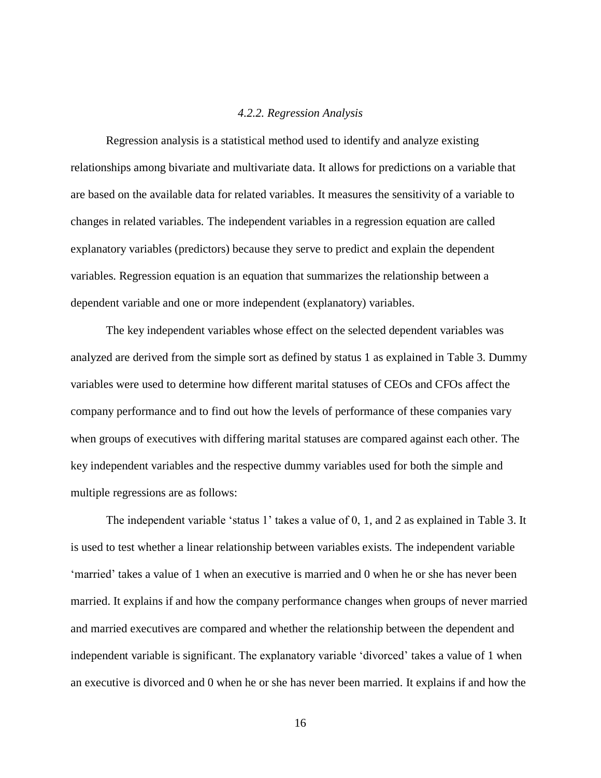#### *4.2.2. Regression Analysis*

<span id="page-22-0"></span>Regression analysis is a statistical method used to identify and analyze existing relationships among bivariate and multivariate data. It allows for predictions on a variable that are based on the available data for related variables. It measures the sensitivity of a variable to changes in related variables. The independent variables in a regression equation are called explanatory variables (predictors) because they serve to predict and explain the dependent variables. Regression equation is an equation that summarizes the relationship between a dependent variable and one or more independent (explanatory) variables.

The key independent variables whose effect on the selected dependent variables was analyzed are derived from the simple sort as defined by status 1 as explained in Table 3. Dummy variables were used to determine how different marital statuses of CEOs and CFOs affect the company performance and to find out how the levels of performance of these companies vary when groups of executives with differing marital statuses are compared against each other. The key independent variables and the respective dummy variables used for both the simple and multiple regressions are as follows:

The independent variable 'status 1' takes a value of 0, 1, and 2 as explained in Table 3. It is used to test whether a linear relationship between variables exists. The independent variable 'married' takes a value of 1 when an executive is married and 0 when he or she has never been married. It explains if and how the company performance changes when groups of never married and married executives are compared and whether the relationship between the dependent and independent variable is significant. The explanatory variable 'divorced' takes a value of 1 when an executive is divorced and 0 when he or she has never been married. It explains if and how the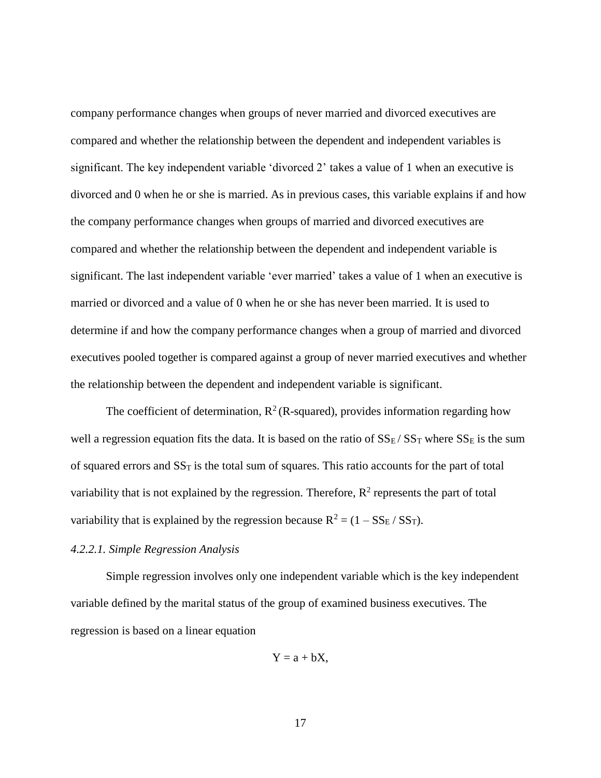company performance changes when groups of never married and divorced executives are compared and whether the relationship between the dependent and independent variables is significant. The key independent variable 'divorced 2' takes a value of 1 when an executive is divorced and 0 when he or she is married. As in previous cases, this variable explains if and how the company performance changes when groups of married and divorced executives are compared and whether the relationship between the dependent and independent variable is significant. The last independent variable 'ever married' takes a value of 1 when an executive is married or divorced and a value of 0 when he or she has never been married. It is used to determine if and how the company performance changes when a group of married and divorced executives pooled together is compared against a group of never married executives and whether the relationship between the dependent and independent variable is significant.

The coefficient of determination,  $R^2$  (R-squared), provides information regarding how well a regression equation fits the data. It is based on the ratio of  $SS_E/SS_T$  where  $SS_E$  is the sum of squared errors and  $SS<sub>T</sub>$  is the total sum of squares. This ratio accounts for the part of total variability that is not explained by the regression. Therefore,  $\mathbb{R}^2$  represents the part of total variability that is explained by the regression because  $R^2 = (1 - SS_E / SS_T)$ .

#### <span id="page-23-0"></span>*4.2.2.1. Simple Regression Analysis*

Simple regression involves only one independent variable which is the key independent variable defined by the marital status of the group of examined business executives. The regression is based on a linear equation

$$
Y = a + bX,
$$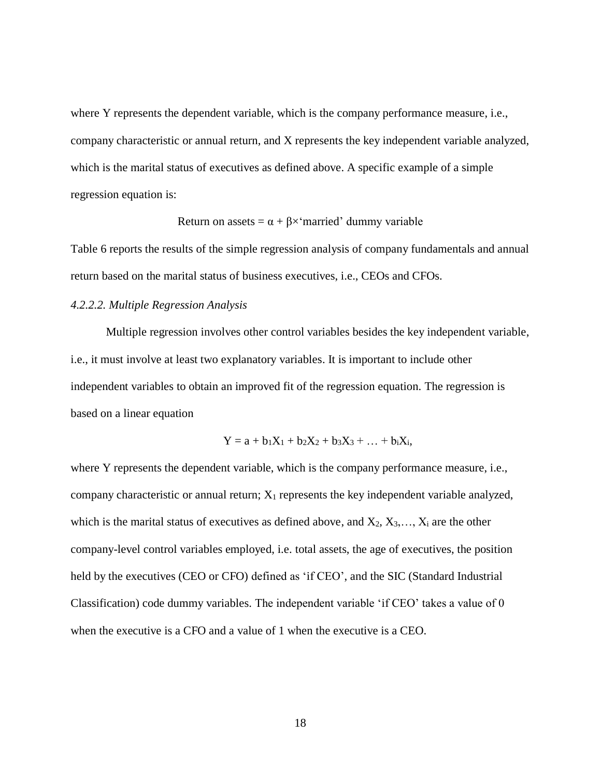where Y represents the dependent variable, which is the company performance measure, i.e., company characteristic or annual return, and X represents the key independent variable analyzed, which is the marital status of executives as defined above. A specific example of a simple regression equation is:

Return on assets =  $\alpha + \beta \times$  married' dummy variable

Table 6 reports the results of the simple regression analysis of company fundamentals and annual return based on the marital status of business executives, i.e., CEOs and CFOs.

#### <span id="page-24-0"></span>*4.2.2.2. Multiple Regression Analysis*

Multiple regression involves other control variables besides the key independent variable, i.e., it must involve at least two explanatory variables. It is important to include other independent variables to obtain an improved fit of the regression equation. The regression is based on a linear equation

$$
Y = a + b_1X_1 + b_2X_2 + b_3X_3 + \ldots + b_iX_i,
$$

where Y represents the dependent variable, which is the company performance measure, i.e., company characteristic or annual return;  $X_1$  represents the key independent variable analyzed, which is the marital status of executives as defined above, and  $X_2, X_3, \ldots, X_i$  are the other company-level control variables employed, i.e. total assets, the age of executives, the position held by the executives (CEO or CFO) defined as 'if CEO', and the SIC (Standard Industrial Classification) code dummy variables. The independent variable 'if CEO' takes a value of 0 when the executive is a CFO and a value of 1 when the executive is a CEO.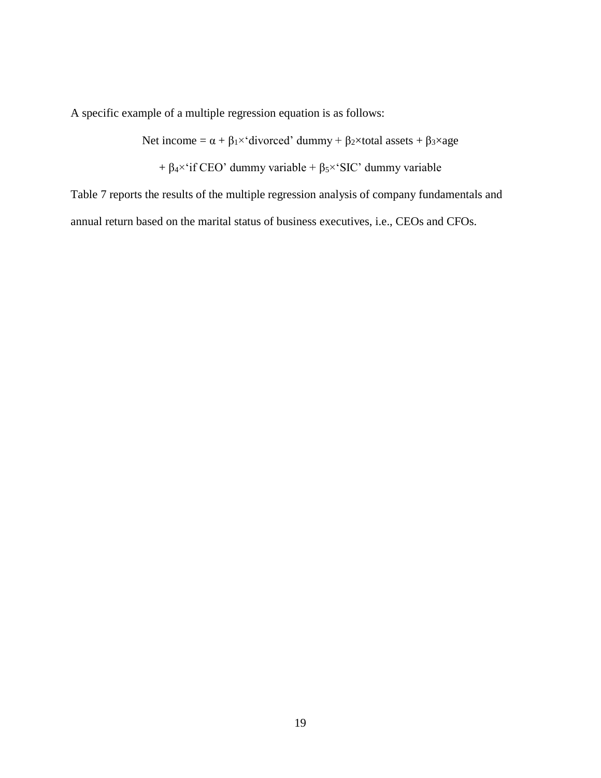A specific example of a multiple regression equation is as follows:

Net income =  $\alpha + \beta_1 \times$ ' divorced' dummy +  $\beta_2 \times$ total assets +  $\beta_3 \times$ age

+  $\beta_4$ <sup>x</sup> if CEO' dummy variable +  $\beta_5$ <sup>x</sup> SIC' dummy variable

Table 7 reports the results of the multiple regression analysis of company fundamentals and annual return based on the marital status of business executives, i.e., CEOs and CFOs.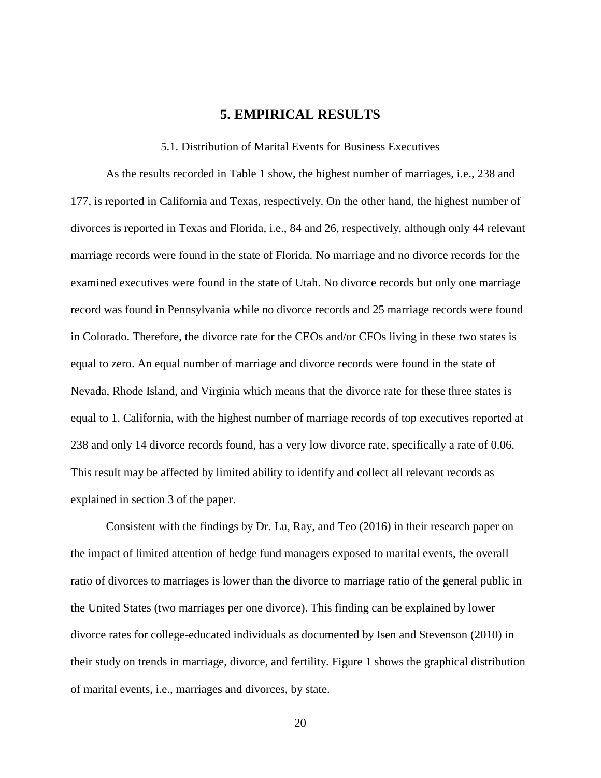## **5. EMPIRICAL RESULTS**

#### 5.1. Distribution of Marital Events for Business Executives

<span id="page-26-1"></span><span id="page-26-0"></span>As the results recorded in Table 1 show, the highest number of marriages, i.e., 238 and 177, is reported in California and Texas, respectively. On the other hand, the highest number of divorces is reported in Texas and Florida, i.e., 84 and 26, respectively, although only 44 relevant marriage records were found in the state of Florida. No marriage and no divorce records for the examined executives were found in the state of Utah. No divorce records but only one marriage record was found in Pennsylvania while no divorce records and 25 marriage records were found in Colorado. Therefore, the divorce rate for the CEOs and/or CFOs living in these two states is equal to zero. An equal number of marriage and divorce records were found in the state of Nevada, Rhode Island, and Virginia which means that the divorce rate for these three states is equal to 1. California, with the highest number of marriage records of top executives reported at 238 and only 14 divorce records found, has a very low divorce rate, specifically a rate of 0.06. This result may be affected by limited ability to identify and collect all relevant records as explained in section 3 of the paper.

Consistent with the findings by Dr. Lu, Ray, and Teo (2016) in their research paper on the impact of limited attention of hedge fund managers exposed to marital events, the overall ratio of divorces to marriages is lower than the divorce to marriage ratio of the general public in the United States (two marriages per one divorce). This finding can be explained by lower divorce rates for college-educated individuals as documented by Isen and Stevenson (2010) in their study on trends in marriage, divorce, and fertility. Figure 1 shows the graphical distribution of marital events, i.e., marriages and divorces, by state.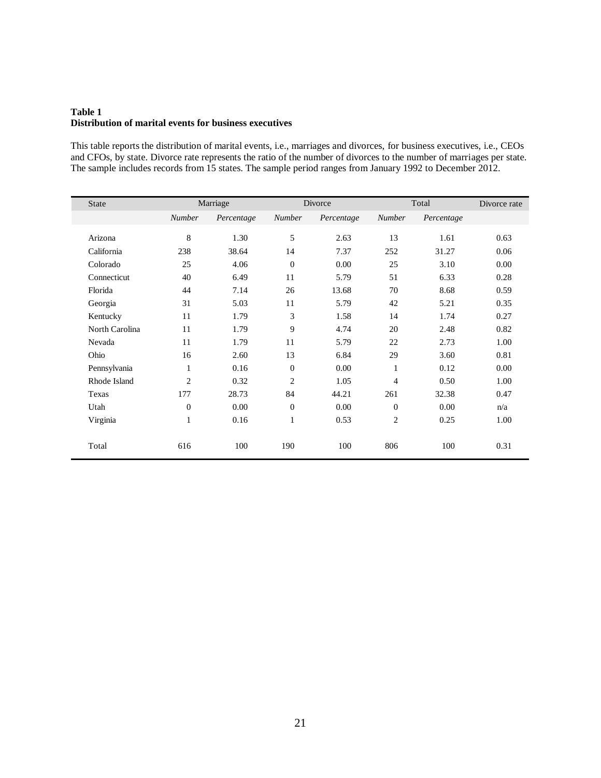#### <span id="page-27-0"></span>**Table 1 Distribution of marital events for business executives**

This table reports the distribution of marital events, i.e., marriages and divorces, for business executives, i.e., CEOs and CFOs, by state. Divorce rate represents the ratio of the number of divorces to the number of marriages per state. The sample includes records from 15 states. The sample period ranges from January 1992 to December 2012.

| <b>State</b>   |                | Marriage   |                | Divorce    |                | Total      | Divorce rate |
|----------------|----------------|------------|----------------|------------|----------------|------------|--------------|
|                | <b>Number</b>  | Percentage | Number         | Percentage | <b>Number</b>  | Percentage |              |
| Arizona        | 8              | 1.30       | 5              | 2.63       | 13             | 1.61       | 0.63         |
| California     | 238            | 38.64      | 14             | 7.37       | 252            | 31.27      | 0.06         |
| Colorado       | 25             | 4.06       | $\mathbf{0}$   | 0.00       | 25             | 3.10       | 0.00         |
| Connecticut    | 40             | 6.49       | 11             | 5.79       | 51             | 6.33       | 0.28         |
| Florida        | 44             | 7.14       | 26             | 13.68      | 70             | 8.68       | 0.59         |
| Georgia        | 31             | 5.03       | 11             | 5.79       | 42             | 5.21       | 0.35         |
| Kentucky       | 11             | 1.79       | 3              | 1.58       | 14             | 1.74       | 0.27         |
| North Carolina | 11             | 1.79       | 9              | 4.74       | 20             | 2.48       | 0.82         |
| Nevada         | 11             | 1.79       | 11             | 5.79       | 22             | 2.73       | 1.00         |
| Ohio           | 16             | 2.60       | 13             | 6.84       | 29             | 3.60       | 0.81         |
| Pennsylvania   | 1              | 0.16       | $\overline{0}$ | 0.00       | 1              | 0.12       | 0.00         |
| Rhode Island   | $\overline{2}$ | 0.32       | $\overline{2}$ | 1.05       | $\overline{4}$ | 0.50       | 1.00         |
| Texas          | 177            | 28.73      | 84             | 44.21      | 261            | 32.38      | 0.47         |
| Utah           | $\overline{0}$ | 0.00       | $\overline{0}$ | 0.00       | $\Omega$       | 0.00       | n/a          |
| Virginia       | 1              | 0.16       | $\mathbf{1}$   | 0.53       | $\overline{c}$ | 0.25       | 1.00         |
| Total          | 616            | 100        | 190            | 100        | 806            | 100        | 0.31         |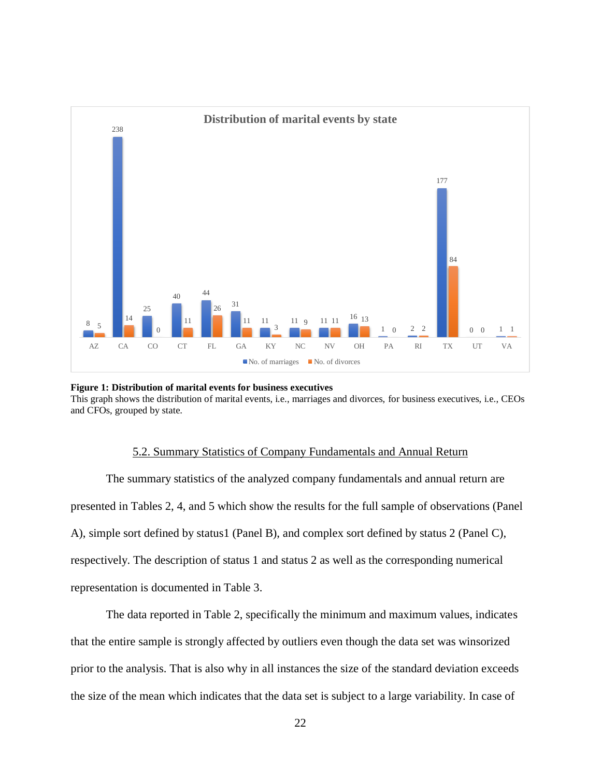

<span id="page-28-1"></span>**Figure 1: Distribution of marital events for business executives** This graph shows the distribution of marital events, i.e., marriages and divorces, for business executives, i.e., CEOs and CFOs, grouped by state.

#### 5.2. Summary Statistics of Company Fundamentals and Annual Return

<span id="page-28-0"></span>The summary statistics of the analyzed company fundamentals and annual return are presented in Tables 2, 4, and 5 which show the results for the full sample of observations (Panel A), simple sort defined by status1 (Panel B), and complex sort defined by status 2 (Panel C), respectively. The description of status 1 and status 2 as well as the corresponding numerical representation is documented in Table 3.

The data reported in Table 2, specifically the minimum and maximum values, indicates that the entire sample is strongly affected by outliers even though the data set was winsorized prior to the analysis. That is also why in all instances the size of the standard deviation exceeds the size of the mean which indicates that the data set is subject to a large variability. In case of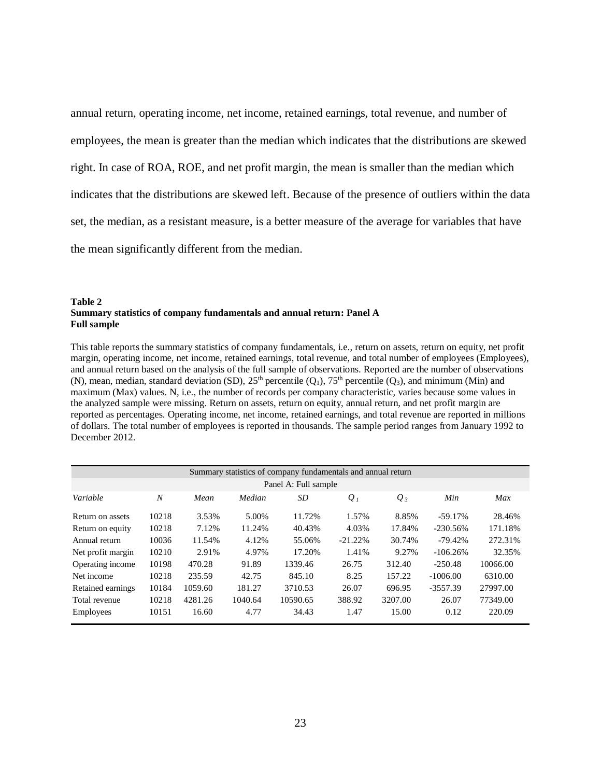annual return, operating income, net income, retained earnings, total revenue, and number of employees, the mean is greater than the median which indicates that the distributions are skewed right. In case of ROA, ROE, and net profit margin, the mean is smaller than the median which indicates that the distributions are skewed left. Because of the presence of outliers within the data set, the median, as a resistant measure, is a better measure of the average for variables that have the mean significantly different from the median.

#### <span id="page-29-0"></span>**Table 2 Summary statistics of company fundamentals and annual return: Panel A Full sample**

This table reports the summary statistics of company fundamentals, i.e., return on assets, return on equity, net profit margin, operating income, net income, retained earnings, total revenue, and total number of employees (Employees), and annual return based on the analysis of the full sample of observations. Reported are the number of observations (N), mean, median, standard deviation (SD),  $25<sup>th</sup>$  percentile (Q<sub>1</sub>),  $75<sup>th</sup>$  percentile (Q<sub>3</sub>), and minimum (Min) and maximum (Max) values. N, i.e., the number of records per company characteristic, varies because some values in the analyzed sample were missing. Return on assets, return on equity, annual return, and net profit margin are reported as percentages. Operating income, net income, retained earnings, and total revenue are reported in millions of dollars. The total number of employees is reported in thousands. The sample period ranges from January 1992 to December 2012.

|                      | Summary statistics of company fundamentals and annual return |         |         |          |           |         |            |          |  |  |  |  |  |  |
|----------------------|--------------------------------------------------------------|---------|---------|----------|-----------|---------|------------|----------|--|--|--|--|--|--|
| Panel A: Full sample |                                                              |         |         |          |           |         |            |          |  |  |  |  |  |  |
| Variable             | $\boldsymbol{N}$                                             | Mean    | Median  | SD       | $Q_I$     | $Q_3$   | Min        | Max      |  |  |  |  |  |  |
| Return on assets     | 10218                                                        | 3.53%   | 5.00%   | 11.72%   | 1.57%     | 8.85%   | $-59.17\%$ | 28.46%   |  |  |  |  |  |  |
| Return on equity     | 10218                                                        | 7.12%   | 11.24%  | 40.43%   | 4.03%     | 17.84%  | $-230.56%$ | 171.18%  |  |  |  |  |  |  |
| Annual return        | 10036                                                        | 11.54%  | 4.12%   | 55.06%   | $-21.22%$ | 30.74%  | $-79.42%$  | 272.31%  |  |  |  |  |  |  |
| Net profit margin    | 10210                                                        | 2.91%   | 4.97%   | 17.20%   | 1.41%     | 9.27%   | $-106.26%$ | 32.35%   |  |  |  |  |  |  |
| Operating income     | 10198                                                        | 470.28  | 91.89   | 1339.46  | 26.75     | 312.40  | $-250.48$  | 10066.00 |  |  |  |  |  |  |
| Net income           | 10218                                                        | 235.59  | 42.75   | 845.10   | 8.25      | 157.22  | $-1006.00$ | 6310.00  |  |  |  |  |  |  |
| Retained earnings    | 10184                                                        | 1059.60 | 181.27  | 3710.53  | 26.07     | 696.95  | $-3557.39$ | 27997.00 |  |  |  |  |  |  |
| Total revenue        | 10218                                                        | 4281.26 | 1040.64 | 10590.65 | 388.92    | 3207.00 | 26.07      | 77349.00 |  |  |  |  |  |  |
| <b>Employees</b>     | 10151                                                        | 16.60   | 4.77    | 34.43    | 1.47      | 15.00   | 0.12       | 220.09   |  |  |  |  |  |  |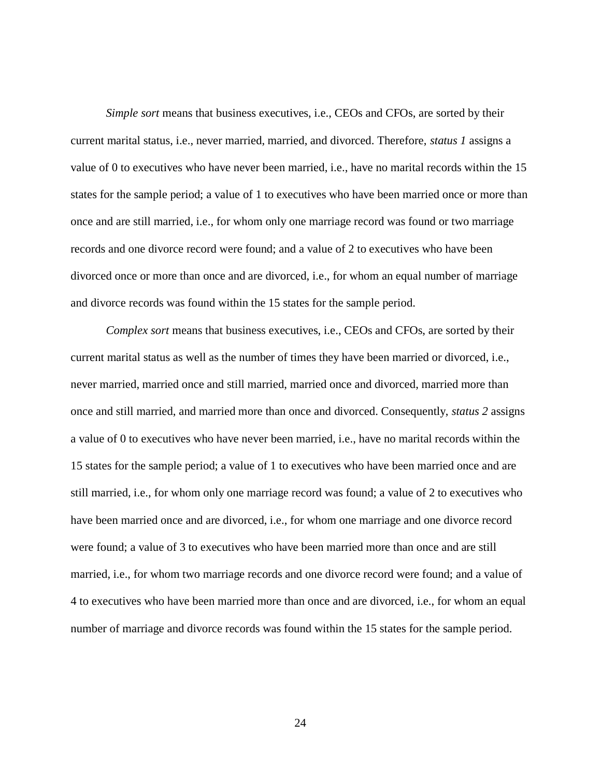*Simple sort* means that business executives, i.e., CEOs and CFOs, are sorted by their current marital status, i.e., never married, married, and divorced. Therefore, *status 1* assigns a value of 0 to executives who have never been married, i.e., have no marital records within the 15 states for the sample period; a value of 1 to executives who have been married once or more than once and are still married, i.e., for whom only one marriage record was found or two marriage records and one divorce record were found; and a value of 2 to executives who have been divorced once or more than once and are divorced, i.e., for whom an equal number of marriage and divorce records was found within the 15 states for the sample period.

*Complex sort* means that business executives, i.e., CEOs and CFOs, are sorted by their current marital status as well as the number of times they have been married or divorced, i.e., never married, married once and still married, married once and divorced, married more than once and still married, and married more than once and divorced. Consequently, *status 2* assigns a value of 0 to executives who have never been married, i.e., have no marital records within the 15 states for the sample period; a value of 1 to executives who have been married once and are still married, i.e., for whom only one marriage record was found; a value of 2 to executives who have been married once and are divorced, i.e., for whom one marriage and one divorce record were found; a value of 3 to executives who have been married more than once and are still married, i.e., for whom two marriage records and one divorce record were found; and a value of 4 to executives who have been married more than once and are divorced, i.e., for whom an equal number of marriage and divorce records was found within the 15 states for the sample period.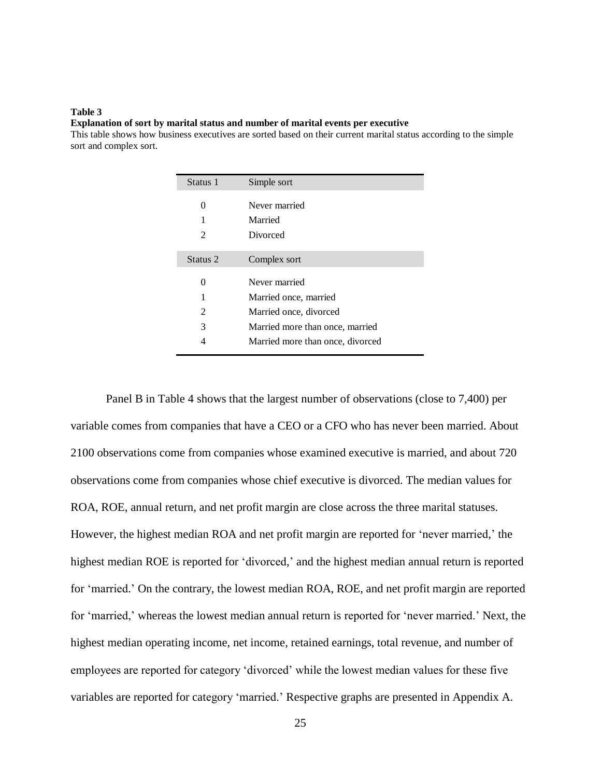#### <span id="page-31-0"></span>**Table 3 Explanation of sort by marital status and number of marital events per executive**

This table shows how business executives are sorted based on their current marital status according to the simple sort and complex sort.

| Status 1            | Simple sort                      |
|---------------------|----------------------------------|
| $\Omega$            | Never married                    |
|                     | Married                          |
| 2                   | Divorced                         |
|                     |                                  |
| Status <sub>2</sub> | Complex sort                     |
| 0                   | Never married                    |
|                     | Married once, married            |
| 2                   | Married once, divorced           |
| 3                   | Married more than once, married  |
| 4                   | Married more than once, divorced |
|                     |                                  |

Panel B in Table 4 shows that the largest number of observations (close to 7,400) per variable comes from companies that have a CEO or a CFO who has never been married. About 2100 observations come from companies whose examined executive is married, and about 720 observations come from companies whose chief executive is divorced. The median values for ROA, ROE, annual return, and net profit margin are close across the three marital statuses. However, the highest median ROA and net profit margin are reported for 'never married,' the highest median ROE is reported for 'divorced,' and the highest median annual return is reported for 'married.' On the contrary, the lowest median ROA, ROE, and net profit margin are reported for 'married,' whereas the lowest median annual return is reported for 'never married.' Next, the highest median operating income, net income, retained earnings, total revenue, and number of employees are reported for category 'divorced' while the lowest median values for these five variables are reported for category 'married.' Respective graphs are presented in Appendix A.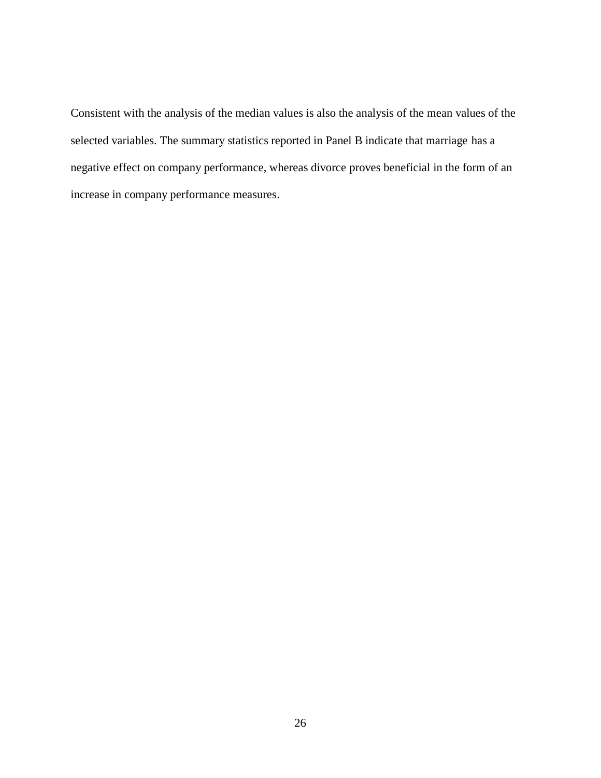Consistent with the analysis of the median values is also the analysis of the mean values of the selected variables. The summary statistics reported in Panel B indicate that marriage has a negative effect on company performance, whereas divorce proves beneficial in the form of an increase in company performance measures.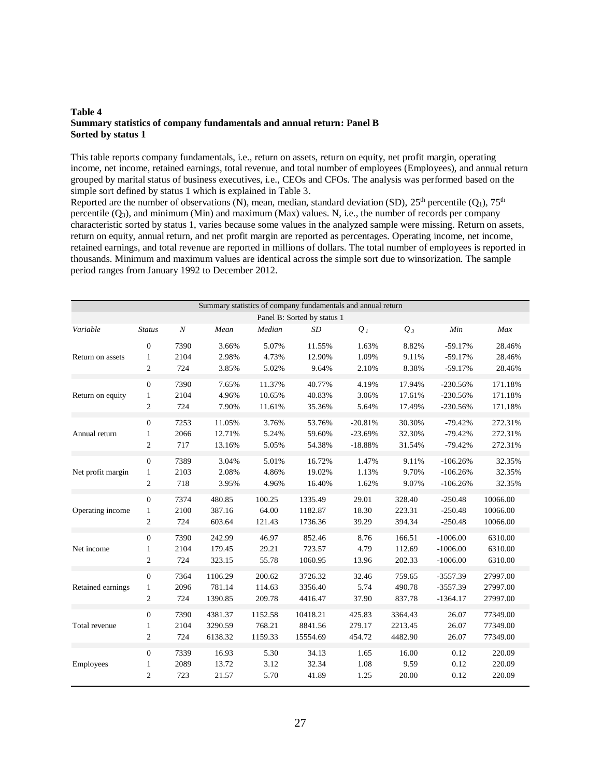#### <span id="page-33-0"></span>**Table 4 Summary statistics of company fundamentals and annual return: Panel B Sorted by status 1**

This table reports company fundamentals, i.e., return on assets, return on equity, net profit margin, operating income, net income, retained earnings, total revenue, and total number of employees (Employees), and annual return grouped by marital status of business executives, i.e., CEOs and CFOs. The analysis was performed based on the simple sort defined by status 1 which is explained in Table 3.

Reported are the number of observations (N), mean, median, standard deviation (SD),  $25^{th}$  percentile (Q<sub>1</sub>),  $75^{th}$ percentile  $(Q_3)$ , and minimum (Min) and maximum (Max) values. N, i.e., the number of records per company characteristic sorted by status 1, varies because some values in the analyzed sample were missing. Return on assets, return on equity, annual return, and net profit margin are reported as percentages. Operating income, net income, retained earnings, and total revenue are reported in millions of dollars. The total number of employees is reported in thousands. Minimum and maximum values are identical across the simple sort due to winsorization. The sample period ranges from January 1992 to December 2012.

| Summary statistics of company fundamentals and annual return |                             |                  |         |         |           |           |         |            |          |  |  |  |
|--------------------------------------------------------------|-----------------------------|------------------|---------|---------|-----------|-----------|---------|------------|----------|--|--|--|
|                                                              | Panel B: Sorted by status 1 |                  |         |         |           |           |         |            |          |  |  |  |
| Variable                                                     | <b>Status</b>               | $\boldsymbol{N}$ | Mean    | Median  | <b>SD</b> | $Q_I$     | $Q_3$   | Min        | Max      |  |  |  |
| Return on assets                                             | $\overline{0}$              | 7390             | 3.66%   | 5.07%   | 11.55%    | 1.63%     | 8.82%   | $-59.17%$  | 28.46%   |  |  |  |
|                                                              | $\mathbf{1}$                | 2104             | 2.98%   | 4.73%   | 12.90%    | 1.09%     | 9.11%   | $-59.17%$  | 28.46%   |  |  |  |
|                                                              | $\overline{2}$              | 724              | 3.85%   | 5.02%   | 9.64%     | 2.10%     | 8.38%   | $-59.17%$  | 28.46%   |  |  |  |
| Return on equity                                             | $\boldsymbol{0}$            | 7390             | 7.65%   | 11.37%  | 40.77%    | 4.19%     | 17.94%  | $-230.56%$ | 171.18%  |  |  |  |
|                                                              | 1                           | 2104             | 4.96%   | 10.65%  | 40.83%    | 3.06%     | 17.61%  | $-230.56%$ | 171.18%  |  |  |  |
|                                                              | $\mathbf{2}$                | 724              | 7.90%   | 11.61%  | 35.36%    | 5.64%     | 17.49%  | $-230.56%$ | 171.18%  |  |  |  |
| Annual return                                                | $\mathbf{0}$                | 7253             | 11.05%  | 3.76%   | 53.76%    | $-20.81%$ | 30.30%  | $-79.42%$  | 272.31%  |  |  |  |
|                                                              | 1                           | 2066             | 12.71%  | 5.24%   | 59.60%    | $-23.69%$ | 32.30%  | $-79.42%$  | 272.31%  |  |  |  |
|                                                              | $\mathbf{2}$                | 717              | 13.16%  | 5.05%   | 54.38%    | $-18.88%$ | 31.54%  | $-79.42%$  | 272.31%  |  |  |  |
| Net profit margin                                            | $\mathbf{0}$                | 7389             | 3.04%   | 5.01%   | 16.72%    | 1.47%     | 9.11%   | $-106.26%$ | 32.35%   |  |  |  |
|                                                              | 1                           | 2103             | 2.08%   | 4.86%   | 19.02%    | 1.13%     | 9.70%   | $-106.26%$ | 32.35%   |  |  |  |
|                                                              | $\sqrt{2}$                  | 718              | 3.95%   | 4.96%   | 16.40%    | 1.62%     | 9.07%   | $-106.26%$ | 32.35%   |  |  |  |
| Operating income                                             | $\boldsymbol{0}$            | 7374             | 480.85  | 100.25  | 1335.49   | 29.01     | 328.40  | $-250.48$  | 10066.00 |  |  |  |
|                                                              | 1                           | 2100             | 387.16  | 64.00   | 1182.87   | 18.30     | 223.31  | $-250.48$  | 10066.00 |  |  |  |
|                                                              | $\mathfrak{2}$              | 724              | 603.64  | 121.43  | 1736.36   | 39.29     | 394.34  | $-250.48$  | 10066.00 |  |  |  |
| Net income                                                   | $\boldsymbol{0}$            | 7390             | 242.99  | 46.97   | 852.46    | 8.76      | 166.51  | $-1006.00$ | 6310.00  |  |  |  |
|                                                              | 1                           | 2104             | 179.45  | 29.21   | 723.57    | 4.79      | 112.69  | $-1006.00$ | 6310.00  |  |  |  |
|                                                              | $\mathbf{2}$                | 724              | 323.15  | 55.78   | 1060.95   | 13.96     | 202.33  | $-1006.00$ | 6310.00  |  |  |  |
| Retained earnings                                            | $\boldsymbol{0}$            | 7364             | 1106.29 | 200.62  | 3726.32   | 32.46     | 759.65  | $-3557.39$ | 27997.00 |  |  |  |
|                                                              | 1                           | 2096             | 781.14  | 114.63  | 3356.40   | 5.74      | 490.78  | $-3557.39$ | 27997.00 |  |  |  |
|                                                              | $\mathfrak{2}$              | 724              | 1390.85 | 209.78  | 4416.47   | 37.90     | 837.78  | $-1364.17$ | 27997.00 |  |  |  |
| Total revenue                                                | $\mathbf{0}$                | 7390             | 4381.37 | 1152.58 | 10418.21  | 425.83    | 3364.43 | 26.07      | 77349.00 |  |  |  |
|                                                              | 1                           | 2104             | 3290.59 | 768.21  | 8841.56   | 279.17    | 2213.45 | 26.07      | 77349.00 |  |  |  |
|                                                              | $\mathfrak{2}$              | 724              | 6138.32 | 1159.33 | 15554.69  | 454.72    | 4482.90 | 26.07      | 77349.00 |  |  |  |
| Employees                                                    | $\mathbf{0}$                | 7339             | 16.93   | 5.30    | 34.13     | 1.65      | 16.00   | 0.12       | 220.09   |  |  |  |
|                                                              | 1                           | 2089             | 13.72   | 3.12    | 32.34     | 1.08      | 9.59    | 0.12       | 220.09   |  |  |  |
|                                                              | $\overline{c}$              | 723              | 21.57   | 5.70    | 41.89     | 1.25      | 20.00   | 0.12       | 220.09   |  |  |  |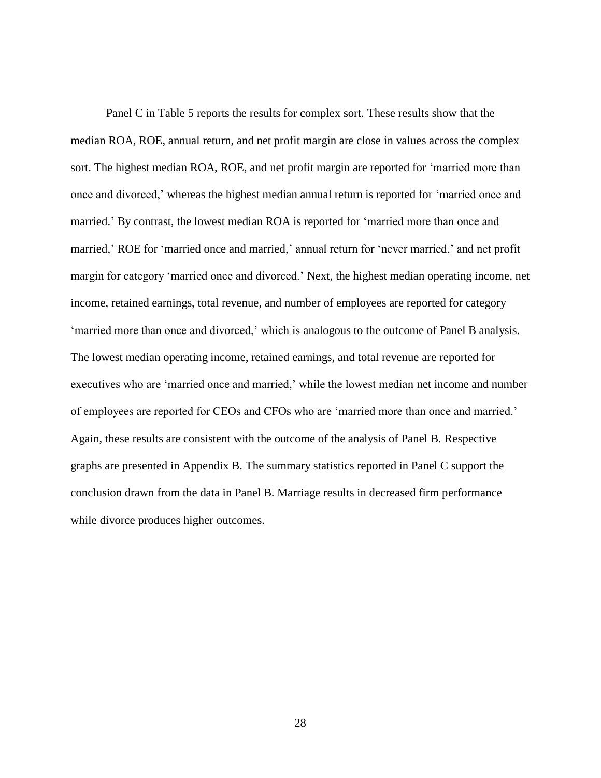Panel C in Table 5 reports the results for complex sort. These results show that the median ROA, ROE, annual return, and net profit margin are close in values across the complex sort. The highest median ROA, ROE, and net profit margin are reported for 'married more than once and divorced,' whereas the highest median annual return is reported for 'married once and married.' By contrast, the lowest median ROA is reported for 'married more than once and married,' ROE for 'married once and married,' annual return for 'never married,' and net profit margin for category 'married once and divorced.' Next, the highest median operating income, net income, retained earnings, total revenue, and number of employees are reported for category 'married more than once and divorced,' which is analogous to the outcome of Panel B analysis. The lowest median operating income, retained earnings, and total revenue are reported for executives who are 'married once and married,' while the lowest median net income and number of employees are reported for CEOs and CFOs who are 'married more than once and married.' Again, these results are consistent with the outcome of the analysis of Panel B. Respective graphs are presented in Appendix B. The summary statistics reported in Panel C support the conclusion drawn from the data in Panel B. Marriage results in decreased firm performance while divorce produces higher outcomes.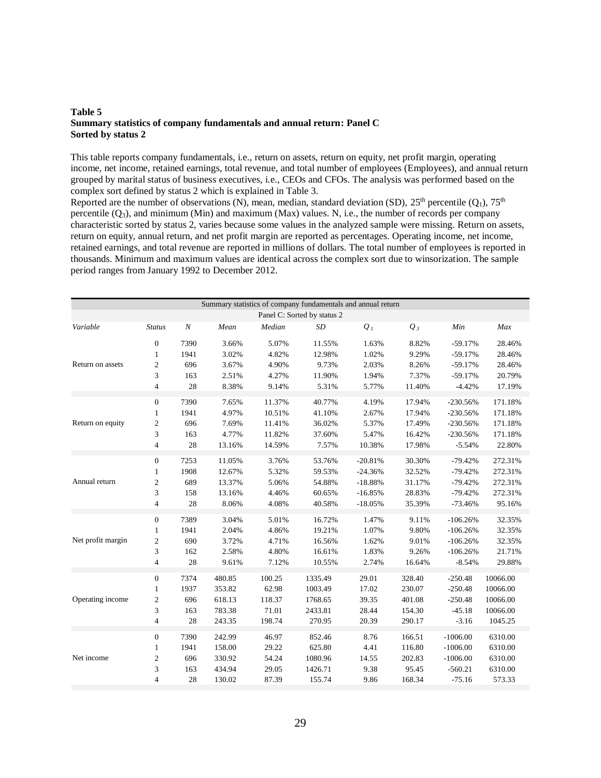#### <span id="page-35-0"></span>**Table 5 Summary statistics of company fundamentals and annual return: Panel C Sorted by status 2**

This table reports company fundamentals, i.e., return on assets, return on equity, net profit margin, operating income, net income, retained earnings, total revenue, and total number of employees (Employees), and annual return grouped by marital status of business executives, i.e., CEOs and CFOs. The analysis was performed based on the complex sort defined by status 2 which is explained in Table 3.

Reported are the number of observations (N), mean, median, standard deviation (SD),  $25^{th}$  percentile (Q<sub>1</sub>),  $75^{th}$ percentile  $(Q_3)$ , and minimum (Min) and maximum (Max) values. N, i.e., the number of records per company characteristic sorted by status 2, varies because some values in the analyzed sample were missing. Return on assets, return on equity, annual return, and net profit margin are reported as percentages. Operating income, net income, retained earnings, and total revenue are reported in millions of dollars. The total number of employees is reported in thousands. Minimum and maximum values are identical across the complex sort due to winsorization. The sample period ranges from January 1992 to December 2012.

| Summary statistics of company fundamentals and annual return |                             |                  |        |        |           |           |        |            |          |  |  |  |  |
|--------------------------------------------------------------|-----------------------------|------------------|--------|--------|-----------|-----------|--------|------------|----------|--|--|--|--|
|                                                              | Panel C: Sorted by status 2 |                  |        |        |           |           |        |            |          |  |  |  |  |
| Variable                                                     | <b>Status</b>               | $\boldsymbol{N}$ | Mean   | Median | <b>SD</b> | $Q_I$     | $Q_3$  | Min        | Max      |  |  |  |  |
|                                                              | $\mathbf{0}$                | 7390             | 3.66%  | 5.07%  | 11.55%    | 1.63%     | 8.82%  | $-59.17%$  | 28.46%   |  |  |  |  |
|                                                              | $\mathbf{1}$                | 1941             | 3.02%  | 4.82%  | 12.98%    | 1.02%     | 9.29%  | $-59.17%$  | 28.46%   |  |  |  |  |
| Return on assets                                             | $\sqrt{2}$                  | 696              | 3.67%  | 4.90%  | 9.73%     | 2.03%     | 8.26%  | $-59.17%$  | 28.46%   |  |  |  |  |
|                                                              | 3                           | 163              | 2.51%  | 4.27%  | 11.90%    | 1.94%     | 7.37%  | $-59.17%$  | 20.79%   |  |  |  |  |
|                                                              | $\overline{4}$              | 28               | 8.38%  | 9.14%  | 5.31%     | 5.77%     | 11.40% | $-4.42%$   | 17.19%   |  |  |  |  |
|                                                              | $\mathbf{0}$                | 7390             | 7.65%  | 11.37% | 40.77%    | 4.19%     | 17.94% | $-230.56%$ | 171.18%  |  |  |  |  |
|                                                              | $\mathbf{1}$                | 1941             | 4.97%  | 10.51% | 41.10%    | 2.67%     | 17.94% | $-230.56%$ | 171.18%  |  |  |  |  |
| Return on equity                                             | $\boldsymbol{2}$            | 696              | 7.69%  | 11.41% | 36.02%    | 5.37%     | 17.49% | $-230.56%$ | 171.18%  |  |  |  |  |
|                                                              | 3                           | 163              | 4.77%  | 11.82% | 37.60%    | 5.47%     | 16.42% | $-230.56%$ | 171.18%  |  |  |  |  |
|                                                              | $\overline{4}$              | 28               | 13.16% | 14.59% | 7.57%     | 10.38%    | 17.98% | $-5.54%$   | 22.80%   |  |  |  |  |
|                                                              | $\mathbf{0}$                | 7253             | 11.05% | 3.76%  | 53.76%    | $-20.81%$ | 30.30% | $-79.42%$  | 272.31%  |  |  |  |  |
|                                                              | $\mathbf{1}$                | 1908             | 12.67% | 5.32%  | 59.53%    | $-24.36%$ | 32.52% | $-79.42%$  | 272.31%  |  |  |  |  |
| Annual return                                                | $\overline{c}$              | 689              | 13.37% | 5.06%  | 54.88%    | $-18.88%$ | 31.17% | $-79.42%$  | 272.31%  |  |  |  |  |
|                                                              | 3                           | 158              | 13.16% | 4.46%  | 60.65%    | $-16.85%$ | 28.83% | $-79.42%$  | 272.31%  |  |  |  |  |
|                                                              | 4                           | 28               | 8.06%  | 4.08%  | 40.58%    | $-18.05%$ | 35.39% | $-73.46%$  | 95.16%   |  |  |  |  |
|                                                              | $\mathbf{0}$                | 7389             | 3.04%  | 5.01%  | 16.72%    | 1.47%     | 9.11%  | $-106.26%$ | 32.35%   |  |  |  |  |
|                                                              | $\mathbf{1}$                | 1941             | 2.04%  | 4.86%  | 19.21%    | 1.07%     | 9.80%  | $-106.26%$ | 32.35%   |  |  |  |  |
| Net profit margin                                            | $\mathfrak{2}$              | 690              | 3.72%  | 4.71%  | 16.56%    | 1.62%     | 9.01%  | $-106.26%$ | 32.35%   |  |  |  |  |
|                                                              | 3                           | 162              | 2.58%  | 4.80%  | 16.61%    | 1.83%     | 9.26%  | $-106.26%$ | 21.71%   |  |  |  |  |
|                                                              | $\overline{4}$              | 28               | 9.61%  | 7.12%  | 10.55%    | 2.74%     | 16.64% | $-8.54%$   | 29.88%   |  |  |  |  |
|                                                              | $\mathbf{0}$                | 7374             | 480.85 | 100.25 | 1335.49   | 29.01     | 328.40 | $-250.48$  | 10066.00 |  |  |  |  |
|                                                              | $\mathbf{1}$                | 1937             | 353.82 | 62.98  | 1003.49   | 17.02     | 230.07 | $-250.48$  | 10066.00 |  |  |  |  |
| Operating income                                             | $\mathfrak{2}$              | 696              | 618.13 | 118.37 | 1768.65   | 39.35     | 401.08 | $-250.48$  | 10066.00 |  |  |  |  |
|                                                              | 3                           | 163              | 783.38 | 71.01  | 2433.81   | 28.44     | 154.30 | $-45.18$   | 10066.00 |  |  |  |  |
|                                                              | $\overline{4}$              | 28               | 243.35 | 198.74 | 270.95    | 20.39     | 290.17 | $-3.16$    | 1045.25  |  |  |  |  |
|                                                              | $\boldsymbol{0}$            | 7390             | 242.99 | 46.97  | 852.46    | 8.76      | 166.51 | $-1006.00$ | 6310.00  |  |  |  |  |
|                                                              | $\mathbf{1}$                | 1941             | 158.00 | 29.22  | 625.80    | 4.41      | 116.80 | $-1006.00$ | 6310.00  |  |  |  |  |
| Net income                                                   | $\overline{c}$              | 696              | 330.92 | 54.24  | 1080.96   | 14.55     | 202.83 | $-1006.00$ | 6310.00  |  |  |  |  |
|                                                              | 3                           | 163              | 434.94 | 29.05  | 1426.71   | 9.38      | 95.45  | $-560.21$  | 6310.00  |  |  |  |  |
|                                                              | $\overline{4}$              | 28               | 130.02 | 87.39  | 155.74    | 9.86      | 168.34 | $-75.16$   | 573.33   |  |  |  |  |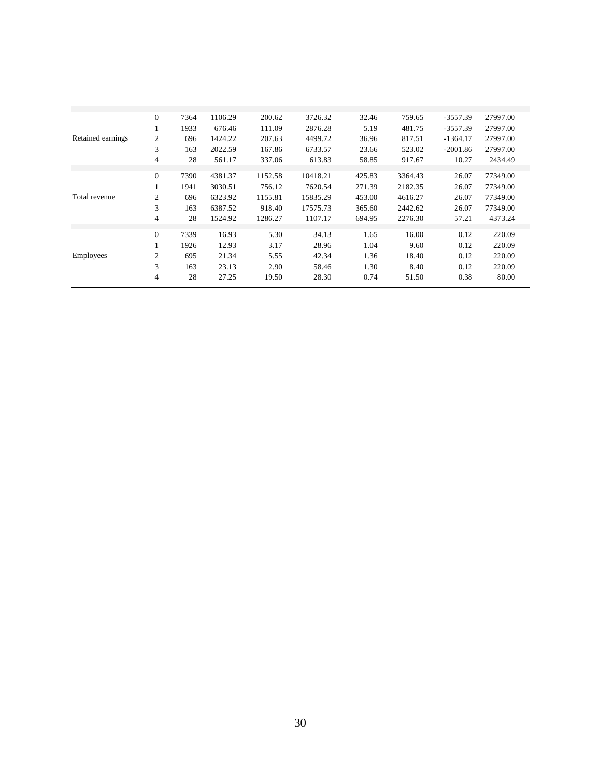| $\mathbf{0}$<br>7364<br>1106.29<br>200.62<br>3726.32<br>32.46<br>759.65<br>$-3557.39$<br>27997.00<br>1933<br>111.09<br>2876.28<br>5.19<br>481.75<br>$-3557.39$<br>27997.00<br>676.46<br>1<br>Retained earnings<br>$\overline{c}$<br>1424.22<br>207.63<br>4499.72<br>817.51<br>27997.00<br>696<br>36.96<br>$-1364.17$<br>3<br>163<br>2022.59<br>6733.57<br>523.02<br>27997.00<br>167.86<br>23.66<br>$-2001.86$<br>4<br>28<br>613.83<br>2434.49<br>337.06<br>917.67<br>10.27<br>561.17<br>58.85<br>$\theta$<br>1152.58<br>7390<br>4381.37<br>10418.21<br>425.83<br>3364.43<br>26.07<br>77349.00<br>3030.51<br>7620.54<br>2182.35<br>77349.00<br>1941<br>756.12<br>271.39<br>26.07<br>Total revenue<br>2<br>77349.00<br>6323.92<br>1155.81<br>15835.29<br>453.00<br>4616.27<br>26.07<br>696<br>3<br>163<br>6387.52<br>918.40<br>17575.73<br>2442.62<br>26.07<br>77349.00<br>365.60<br>$\overline{4}$<br>28<br>1524.92<br>1107.17<br>2276.30<br>4373.24<br>1286.27<br>694.95<br>57.21<br>$\Omega$<br>5.30<br>16.00<br>7339<br>16.93<br>34.13<br>1.65<br>0.12<br>220.09<br>1926<br>12.93<br>1.04<br>0.12<br>220.09<br>3.17<br>28.96<br>9.60 |           |   |     |       |      |       |      |       |      |        |
|----------------------------------------------------------------------------------------------------------------------------------------------------------------------------------------------------------------------------------------------------------------------------------------------------------------------------------------------------------------------------------------------------------------------------------------------------------------------------------------------------------------------------------------------------------------------------------------------------------------------------------------------------------------------------------------------------------------------------------------------------------------------------------------------------------------------------------------------------------------------------------------------------------------------------------------------------------------------------------------------------------------------------------------------------------------------------------------------------------------------------------------|-----------|---|-----|-------|------|-------|------|-------|------|--------|
|                                                                                                                                                                                                                                                                                                                                                                                                                                                                                                                                                                                                                                                                                                                                                                                                                                                                                                                                                                                                                                                                                                                                        |           |   |     |       |      |       |      |       |      |        |
|                                                                                                                                                                                                                                                                                                                                                                                                                                                                                                                                                                                                                                                                                                                                                                                                                                                                                                                                                                                                                                                                                                                                        |           |   |     |       |      |       |      |       |      |        |
|                                                                                                                                                                                                                                                                                                                                                                                                                                                                                                                                                                                                                                                                                                                                                                                                                                                                                                                                                                                                                                                                                                                                        |           |   |     |       |      |       |      |       |      |        |
|                                                                                                                                                                                                                                                                                                                                                                                                                                                                                                                                                                                                                                                                                                                                                                                                                                                                                                                                                                                                                                                                                                                                        |           |   |     |       |      |       |      |       |      |        |
|                                                                                                                                                                                                                                                                                                                                                                                                                                                                                                                                                                                                                                                                                                                                                                                                                                                                                                                                                                                                                                                                                                                                        |           |   |     |       |      |       |      |       |      |        |
|                                                                                                                                                                                                                                                                                                                                                                                                                                                                                                                                                                                                                                                                                                                                                                                                                                                                                                                                                                                                                                                                                                                                        |           |   |     |       |      |       |      |       |      |        |
|                                                                                                                                                                                                                                                                                                                                                                                                                                                                                                                                                                                                                                                                                                                                                                                                                                                                                                                                                                                                                                                                                                                                        |           |   |     |       |      |       |      |       |      |        |
|                                                                                                                                                                                                                                                                                                                                                                                                                                                                                                                                                                                                                                                                                                                                                                                                                                                                                                                                                                                                                                                                                                                                        |           |   |     |       |      |       |      |       |      |        |
|                                                                                                                                                                                                                                                                                                                                                                                                                                                                                                                                                                                                                                                                                                                                                                                                                                                                                                                                                                                                                                                                                                                                        |           |   |     |       |      |       |      |       |      |        |
|                                                                                                                                                                                                                                                                                                                                                                                                                                                                                                                                                                                                                                                                                                                                                                                                                                                                                                                                                                                                                                                                                                                                        |           |   |     |       |      |       |      |       |      |        |
|                                                                                                                                                                                                                                                                                                                                                                                                                                                                                                                                                                                                                                                                                                                                                                                                                                                                                                                                                                                                                                                                                                                                        |           |   |     |       |      |       |      |       |      |        |
|                                                                                                                                                                                                                                                                                                                                                                                                                                                                                                                                                                                                                                                                                                                                                                                                                                                                                                                                                                                                                                                                                                                                        |           |   |     |       |      |       |      |       |      |        |
|                                                                                                                                                                                                                                                                                                                                                                                                                                                                                                                                                                                                                                                                                                                                                                                                                                                                                                                                                                                                                                                                                                                                        |           |   |     |       |      |       |      |       |      |        |
|                                                                                                                                                                                                                                                                                                                                                                                                                                                                                                                                                                                                                                                                                                                                                                                                                                                                                                                                                                                                                                                                                                                                        |           |   |     |       |      |       |      |       |      |        |
|                                                                                                                                                                                                                                                                                                                                                                                                                                                                                                                                                                                                                                                                                                                                                                                                                                                                                                                                                                                                                                                                                                                                        | Employees | 2 | 695 | 21.34 | 5.55 | 42.34 | 1.36 | 18.40 | 0.12 | 220.09 |
| 3<br>163<br>23.13<br>2.90<br>1.30<br>8.40<br>0.12<br>220.09<br>58.46                                                                                                                                                                                                                                                                                                                                                                                                                                                                                                                                                                                                                                                                                                                                                                                                                                                                                                                                                                                                                                                                   |           |   |     |       |      |       |      |       |      |        |
| 28<br>27.25<br>0.38<br>4<br>19.50<br>28.30<br>0.74<br>80.00<br>51.50                                                                                                                                                                                                                                                                                                                                                                                                                                                                                                                                                                                                                                                                                                                                                                                                                                                                                                                                                                                                                                                                   |           |   |     |       |      |       |      |       |      |        |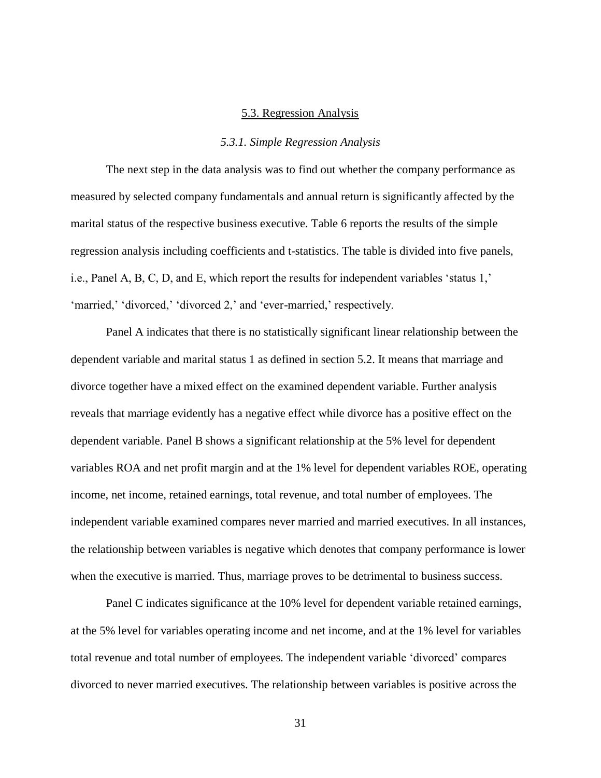#### 5.3. Regression Analysis

#### *5.3.1. Simple Regression Analysis*

<span id="page-37-1"></span><span id="page-37-0"></span>The next step in the data analysis was to find out whether the company performance as measured by selected company fundamentals and annual return is significantly affected by the marital status of the respective business executive. Table 6 reports the results of the simple regression analysis including coefficients and t-statistics. The table is divided into five panels, i.e., Panel A, B, C, D, and E, which report the results for independent variables 'status 1,' 'married,' 'divorced,' 'divorced 2,' and 'ever-married,' respectively.

Panel A indicates that there is no statistically significant linear relationship between the dependent variable and marital status 1 as defined in section 5.2. It means that marriage and divorce together have a mixed effect on the examined dependent variable. Further analysis reveals that marriage evidently has a negative effect while divorce has a positive effect on the dependent variable. Panel B shows a significant relationship at the 5% level for dependent variables ROA and net profit margin and at the 1% level for dependent variables ROE, operating income, net income, retained earnings, total revenue, and total number of employees. The independent variable examined compares never married and married executives. In all instances, the relationship between variables is negative which denotes that company performance is lower when the executive is married. Thus, marriage proves to be detrimental to business success.

Panel C indicates significance at the 10% level for dependent variable retained earnings, at the 5% level for variables operating income and net income, and at the 1% level for variables total revenue and total number of employees. The independent variable 'divorced' compares divorced to never married executives. The relationship between variables is positive across the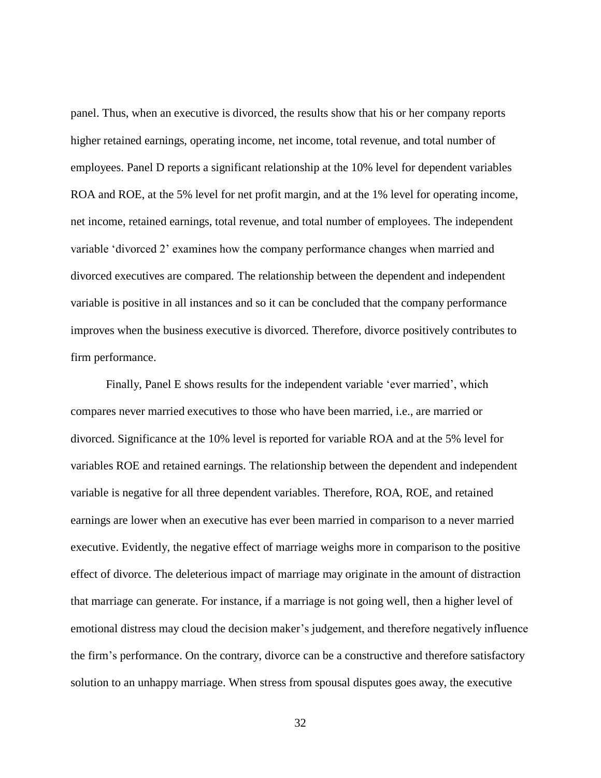panel. Thus, when an executive is divorced, the results show that his or her company reports higher retained earnings, operating income, net income, total revenue, and total number of employees. Panel D reports a significant relationship at the 10% level for dependent variables ROA and ROE, at the 5% level for net profit margin, and at the 1% level for operating income, net income, retained earnings, total revenue, and total number of employees. The independent variable 'divorced 2' examines how the company performance changes when married and divorced executives are compared. The relationship between the dependent and independent variable is positive in all instances and so it can be concluded that the company performance improves when the business executive is divorced. Therefore, divorce positively contributes to firm performance.

Finally, Panel E shows results for the independent variable 'ever married', which compares never married executives to those who have been married, i.e., are married or divorced. Significance at the 10% level is reported for variable ROA and at the 5% level for variables ROE and retained earnings. The relationship between the dependent and independent variable is negative for all three dependent variables. Therefore, ROA, ROE, and retained earnings are lower when an executive has ever been married in comparison to a never married executive. Evidently, the negative effect of marriage weighs more in comparison to the positive effect of divorce. The deleterious impact of marriage may originate in the amount of distraction that marriage can generate. For instance, if a marriage is not going well, then a higher level of emotional distress may cloud the decision maker's judgement, and therefore negatively influence the firm's performance. On the contrary, divorce can be a constructive and therefore satisfactory solution to an unhappy marriage. When stress from spousal disputes goes away, the executive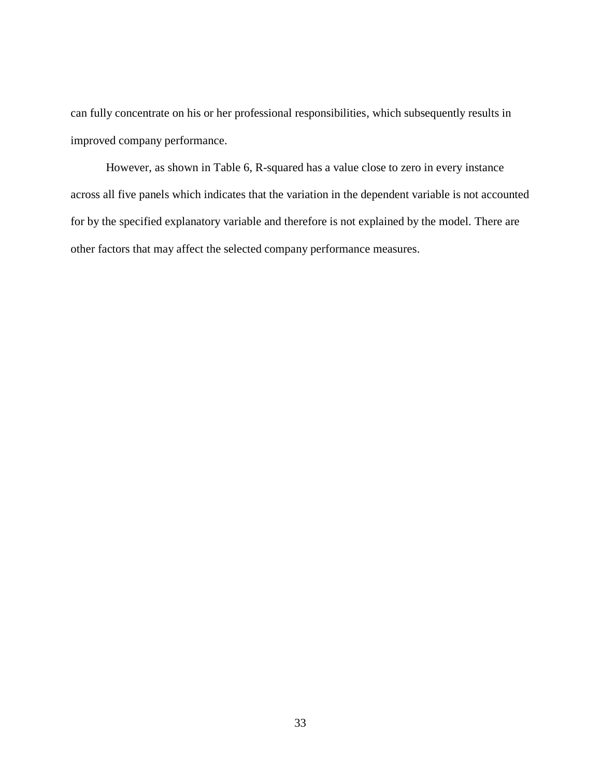can fully concentrate on his or her professional responsibilities, which subsequently results in improved company performance.

However, as shown in Table 6, R-squared has a value close to zero in every instance across all five panels which indicates that the variation in the dependent variable is not accounted for by the specified explanatory variable and therefore is not explained by the model. There are other factors that may affect the selected company performance measures.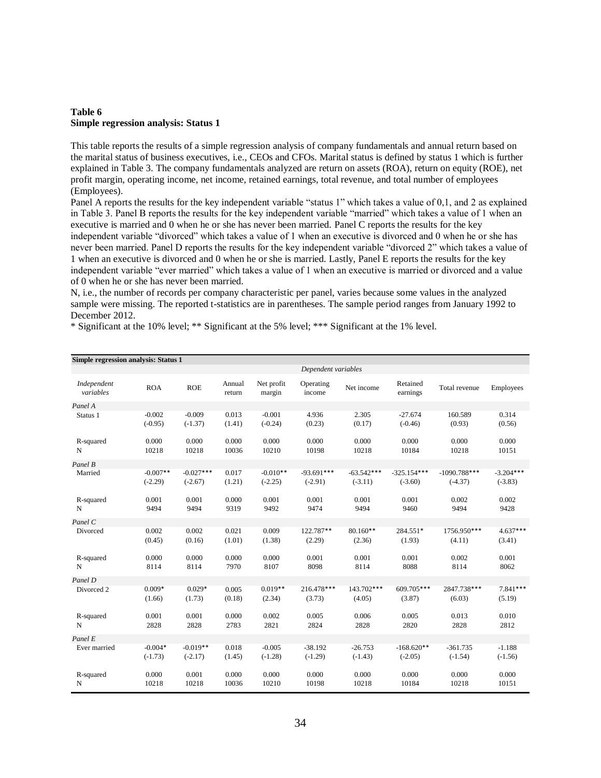#### <span id="page-40-0"></span>**Table 6 Simple regression analysis: Status 1**

This table reports the results of a simple regression analysis of company fundamentals and annual return based on the marital status of business executives, i.e., CEOs and CFOs. Marital status is defined by status 1 which is further explained in Table 3. The company fundamentals analyzed are return on assets (ROA), return on equity (ROE), net profit margin, operating income, net income, retained earnings, total revenue, and total number of employees (Employees).

Panel A reports the results for the key independent variable "status 1" which takes a value of 0,1, and 2 as explained in Table 3. Panel B reports the results for the key independent variable "married" which takes a value of 1 when an executive is married and 0 when he or she has never been married. Panel C reports the results for the key independent variable "divorced" which takes a value of 1 when an executive is divorced and 0 when he or she has never been married. Panel D reports the results for the key independent variable "divorced 2" which takes a value of 1 when an executive is divorced and 0 when he or she is married. Lastly, Panel E reports the results for the key independent variable "ever married" which takes a value of 1 when an executive is married or divorced and a value of 0 when he or she has never been married.

N, i.e., the number of records per company characteristic per panel, varies because some values in the analyzed sample were missing. The reported t-statistics are in parentheses. The sample period ranges from January 1992 to December 2012.

\* Significant at the 10% level; \*\* Significant at the 5% level; \*\*\* Significant at the 1% level.

| Simple regression analysis: Status 1 |            |             |                  |                      |                     |              |                      |                |             |  |  |
|--------------------------------------|------------|-------------|------------------|----------------------|---------------------|--------------|----------------------|----------------|-------------|--|--|
|                                      |            |             |                  |                      | Dependent variables |              |                      |                |             |  |  |
| Independent<br>variables             | <b>ROA</b> | <b>ROE</b>  | Annual<br>return | Net profit<br>margin | Operating<br>income | Net income   | Retained<br>earnings | Total revenue  | Employees   |  |  |
| Panel A                              |            |             |                  |                      |                     |              |                      |                |             |  |  |
| Status 1                             | $-0.002$   | $-0.009$    | 0.013            | $-0.001$             | 4.936               | 2.305        | $-27.674$            | 160.589        | 0.314       |  |  |
|                                      | $(-0.95)$  | $(-1.37)$   | (1.41)           | $(-0.24)$            | (0.23)              | (0.17)       | $(-0.46)$            | (0.93)         | (0.56)      |  |  |
| R-squared                            | 0.000      | 0.000       | 0.000            | 0.000                | 0.000               | 0.000        | 0.000                | 0.000          | 0.000       |  |  |
| N                                    | 10218      | 10218       | 10036            | 10210                | 10198               | 10218        | 10184                | 10218          | 10151       |  |  |
| Panel B                              |            |             |                  |                      |                     |              |                      |                |             |  |  |
| Married                              | $-0.007**$ | $-0.027***$ | 0.017            | $-0.010**$           | $-93.691***$        | $-63.542***$ | $-325.154***$        | $-1090.788***$ | $-3.204***$ |  |  |
|                                      | $(-2.29)$  | $(-2.67)$   | (1.21)           | $(-2.25)$            | $(-2.91)$           | $(-3.11)$    | $(-3.60)$            | $(-4.37)$      | $(-3.83)$   |  |  |
| R-squared                            | 0.001      | 0.001       | 0.000            | 0.001                | 0.001               | 0.001        | 0.001                | 0.002          | 0.002       |  |  |
| N                                    | 9494       | 9494        | 9319             | 9492                 | 9474                | 9494         | 9460                 | 9494           | 9428        |  |  |
| Panel C                              |            |             |                  |                      |                     |              |                      |                |             |  |  |
| Divorced                             | 0.002      | 0.002       | 0.021            | 0.009                | 122.787**           | $80.160**$   | 284.551*             | 1756.950***    | $4.637***$  |  |  |
|                                      | (0.45)     | (0.16)      | (1.01)           | (1.38)               | (2.29)              | (2.36)       | (1.93)               | (4.11)         | (3.41)      |  |  |
| R-squared                            | 0.000      | 0.000       | 0.000            | 0.000                | 0.001               | 0.001        | 0.001                | 0.002          | 0.001       |  |  |
| N                                    | 8114       | 8114        | 7970             | 8107                 | 8098                | 8114         | 8088                 | 8114           | 8062        |  |  |
| Panel D                              |            |             |                  |                      |                     |              |                      |                |             |  |  |
| Divorced 2                           | $0.009*$   | $0.029*$    | 0.005            | $0.019**$            | 216.478***          | 143.702***   | $609.705***$         | 2847.738***    | $7.841***$  |  |  |
|                                      | (1.66)     | (1.73)      | (0.18)           | (2.34)               | (3.73)              | (4.05)       | (3.87)               | (6.03)         | (5.19)      |  |  |
| R-squared                            | 0.001      | 0.001       | 0.000            | 0.002                | 0.005               | 0.006        | 0.005                | 0.013          | 0.010       |  |  |
| N                                    | 2828       | 2828        | 2783             | 2821                 | 2824                | 2828         | 2820                 | 2828           | 2812        |  |  |
| Panel E                              |            |             |                  |                      |                     |              |                      |                |             |  |  |
| Ever married                         | $-0.004*$  | $-0.019**$  | 0.018            | $-0.005$             | $-38.192$           | $-26.753$    | $-168.620**$         | $-361.735$     | $-1.188$    |  |  |
|                                      | $(-1.73)$  | $(-2.17)$   | (1.45)           | $(-1.28)$            | $(-1.29)$           | $(-1.43)$    | $(-2.05)$            | $(-1.54)$      | $(-1.56)$   |  |  |
| R-squared                            | 0.000      | 0.001       | 0.000            | 0.000                | 0.000               | 0.000        | 0.000                | 0.000          | 0.000       |  |  |
| N                                    | 10218      | 10218       | 10036            | 10210                | 10198               | 10218        | 10184                | 10218          | 10151       |  |  |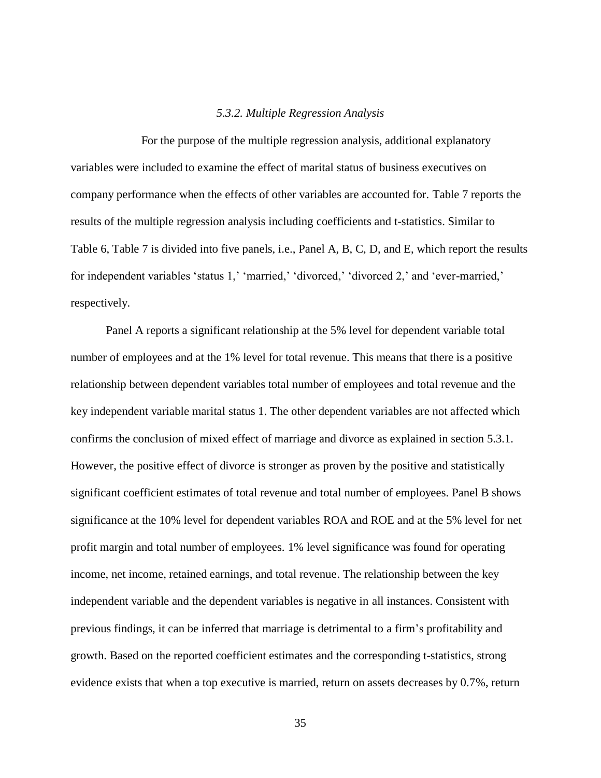#### *5.3.2. Multiple Regression Analysis*

<span id="page-41-0"></span>For the purpose of the multiple regression analysis, additional explanatory variables were included to examine the effect of marital status of business executives on company performance when the effects of other variables are accounted for. Table 7 reports the results of the multiple regression analysis including coefficients and t-statistics. Similar to Table 6, Table 7 is divided into five panels, i.e., Panel A, B, C, D, and E, which report the results for independent variables 'status 1,' 'married,' 'divorced,' 'divorced 2,' and 'ever-married,' respectively.

Panel A reports a significant relationship at the 5% level for dependent variable total number of employees and at the 1% level for total revenue. This means that there is a positive relationship between dependent variables total number of employees and total revenue and the key independent variable marital status 1. The other dependent variables are not affected which confirms the conclusion of mixed effect of marriage and divorce as explained in section 5.3.1. However, the positive effect of divorce is stronger as proven by the positive and statistically significant coefficient estimates of total revenue and total number of employees. Panel B shows significance at the 10% level for dependent variables ROA and ROE and at the 5% level for net profit margin and total number of employees. 1% level significance was found for operating income, net income, retained earnings, and total revenue. The relationship between the key independent variable and the dependent variables is negative in all instances. Consistent with previous findings, it can be inferred that marriage is detrimental to a firm's profitability and growth. Based on the reported coefficient estimates and the corresponding t-statistics, strong evidence exists that when a top executive is married, return on assets decreases by 0.7%, return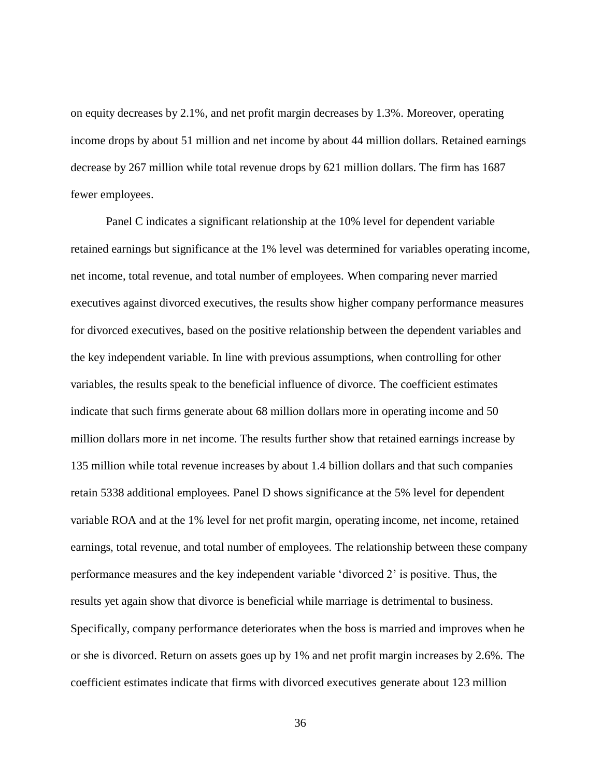on equity decreases by 2.1%, and net profit margin decreases by 1.3%. Moreover, operating income drops by about 51 million and net income by about 44 million dollars. Retained earnings decrease by 267 million while total revenue drops by 621 million dollars. The firm has 1687 fewer employees.

Panel C indicates a significant relationship at the 10% level for dependent variable retained earnings but significance at the 1% level was determined for variables operating income, net income, total revenue, and total number of employees. When comparing never married executives against divorced executives, the results show higher company performance measures for divorced executives, based on the positive relationship between the dependent variables and the key independent variable. In line with previous assumptions, when controlling for other variables, the results speak to the beneficial influence of divorce. The coefficient estimates indicate that such firms generate about 68 million dollars more in operating income and 50 million dollars more in net income. The results further show that retained earnings increase by 135 million while total revenue increases by about 1.4 billion dollars and that such companies retain 5338 additional employees. Panel D shows significance at the 5% level for dependent variable ROA and at the 1% level for net profit margin, operating income, net income, retained earnings, total revenue, and total number of employees. The relationship between these company performance measures and the key independent variable 'divorced 2' is positive. Thus, the results yet again show that divorce is beneficial while marriage is detrimental to business. Specifically, company performance deteriorates when the boss is married and improves when he or she is divorced. Return on assets goes up by 1% and net profit margin increases by 2.6%. The coefficient estimates indicate that firms with divorced executives generate about 123 million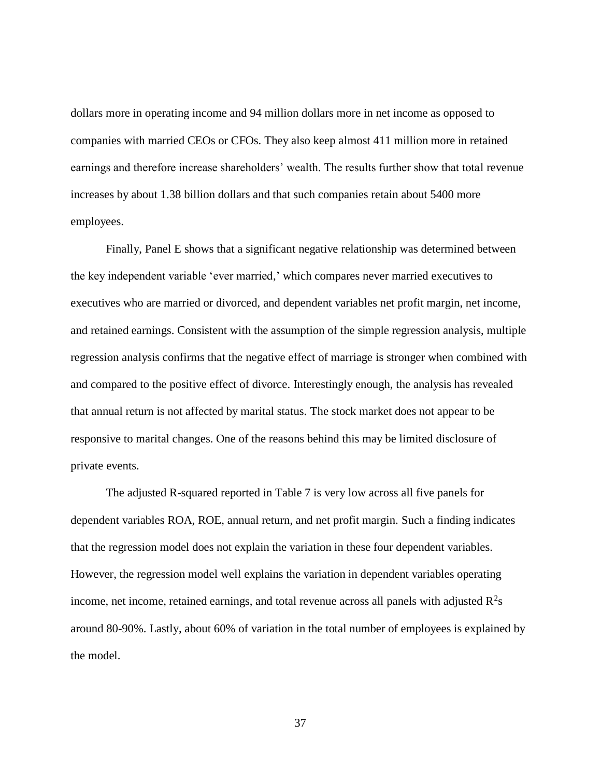dollars more in operating income and 94 million dollars more in net income as opposed to companies with married CEOs or CFOs. They also keep almost 411 million more in retained earnings and therefore increase shareholders' wealth. The results further show that total revenue increases by about 1.38 billion dollars and that such companies retain about 5400 more employees.

Finally, Panel E shows that a significant negative relationship was determined between the key independent variable 'ever married,' which compares never married executives to executives who are married or divorced, and dependent variables net profit margin, net income, and retained earnings. Consistent with the assumption of the simple regression analysis, multiple regression analysis confirms that the negative effect of marriage is stronger when combined with and compared to the positive effect of divorce. Interestingly enough, the analysis has revealed that annual return is not affected by marital status. The stock market does not appear to be responsive to marital changes. One of the reasons behind this may be limited disclosure of private events.

The adjusted R-squared reported in Table 7 is very low across all five panels for dependent variables ROA, ROE, annual return, and net profit margin. Such a finding indicates that the regression model does not explain the variation in these four dependent variables. However, the regression model well explains the variation in dependent variables operating income, net income, retained earnings, and total revenue across all panels with adjusted  $R^2s$ around 80-90%. Lastly, about 60% of variation in the total number of employees is explained by the model.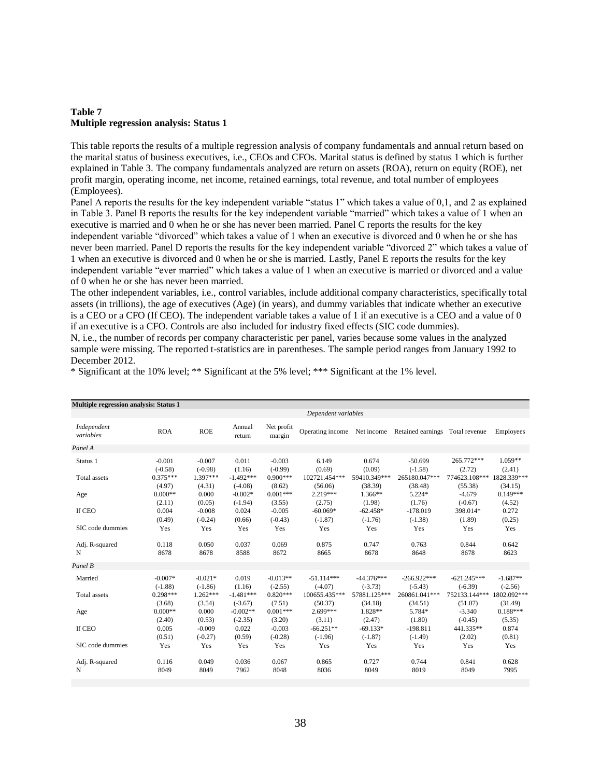#### <span id="page-44-0"></span>**Table 7 Multiple regression analysis: Status 1**

This table reports the results of a multiple regression analysis of company fundamentals and annual return based on the marital status of business executives, i.e., CEOs and CFOs. Marital status is defined by status 1 which is further explained in Table 3. The company fundamentals analyzed are return on assets (ROA), return on equity (ROE), net profit margin, operating income, net income, retained earnings, total revenue, and total number of employees (Employees).

Panel A reports the results for the key independent variable "status 1" which takes a value of 0,1, and 2 as explained in Table 3. Panel B reports the results for the key independent variable "married" which takes a value of 1 when an executive is married and 0 when he or she has never been married. Panel C reports the results for the key independent variable "divorced" which takes a value of 1 when an executive is divorced and 0 when he or she has never been married. Panel D reports the results for the key independent variable "divorced 2" which takes a value of 1 when an executive is divorced and 0 when he or she is married. Lastly, Panel E reports the results for the key independent variable "ever married" which takes a value of 1 when an executive is married or divorced and a value of 0 when he or she has never been married.

The other independent variables, i.e., control variables, include additional company characteristics, specifically total assets (in trillions), the age of executives (Age) (in years), and dummy variables that indicate whether an executive is a CEO or a CFO (If CEO). The independent variable takes a value of 1 if an executive is a CEO and a value of 0 if an executive is a CFO. Controls are also included for industry fixed effects (SIC code dummies).

N, i.e., the number of records per company characteristic per panel, varies because some values in the analyzed sample were missing. The reported t-statistics are in parentheses. The sample period ranges from January 1992 to December 2012.

\* Significant at the 10% level; \*\* Significant at the 5% level; \*\*\* Significant at the 1% level.

| <b>Multiple regression analysis: Status 1</b> |            |            |                  |                      |                     |              |                                            |               |             |
|-----------------------------------------------|------------|------------|------------------|----------------------|---------------------|--------------|--------------------------------------------|---------------|-------------|
|                                               |            |            |                  |                      | Dependent variables |              |                                            |               |             |
| Independent<br>variables                      | <b>ROA</b> | <b>ROE</b> | Annual<br>return | Net profit<br>margin | Operating income    |              | Net income Retained earnings Total revenue |               | Employees   |
| Panel A                                       |            |            |                  |                      |                     |              |                                            |               |             |
| Status 1                                      | $-0.001$   | $-0.007$   | 0.011            | $-0.003$             | 6.149               | 0.674        | $-50.699$                                  | 265.772***    | $1.059**$   |
|                                               | $(-0.58)$  | $(-0.98)$  | (1.16)           | $(-0.99)$            | (0.69)              | (0.09)       | $(-1.58)$                                  | (2.72)        | (2.41)      |
| Total assets                                  | $0.375***$ | $1.397***$ | $-1.492***$      | $0.900***$           | 102721.454***       | 59410.349*** | 265180.047***                              | 774623.108*** | 1828.339*** |
|                                               | (4.97)     | (4.31)     | $(-4.08)$        | (8.62)               | (56.06)             | (38.39)      | (38.48)                                    | (55.38)       | (34.15)     |
| Age                                           | $0.000**$  | 0.000      | $-0.002*$        | $0.001***$           | 2.219***            | 1.366**      | 5.224*                                     | $-4.679$      | $0.149***$  |
|                                               | (2.11)     | (0.05)     | $(-1.94)$        | (3.55)               | (2.75)              | (1.98)       | (1.76)                                     | $(-0.67)$     | (4.52)      |
| If CEO                                        | 0.004      | $-0.008$   | 0.024            | $-0.005$             | $-60.069*$          | $-62.458*$   | $-178.019$                                 | 398.014*      | 0.272       |
|                                               | (0.49)     | $(-0.24)$  | (0.66)           | $(-0.43)$            | $(-1.87)$           | $(-1.76)$    | $(-1.38)$                                  | (1.89)        | (0.25)      |
| SIC code dummies                              | Yes        | Yes        | Yes              | Yes                  | Yes                 | Yes          | Yes                                        | Yes           | Yes         |
| Adj. R-squared                                | 0.118      | 0.050      | 0.037            | 0.069                | 0.875               | 0.747        | 0.763                                      | 0.844         | 0.642       |
| N                                             | 8678       | 8678       | 8588             | 8672                 | 8665                | 8678         | 8648                                       | 8678          | 8623        |
| Panel B                                       |            |            |                  |                      |                     |              |                                            |               |             |
| Married                                       | $-0.007*$  | $-0.021*$  | 0.019            | $-0.013**$           | $-51.114***$        | $-44.376***$ | $-266.922***$                              | $-621.245***$ | $-1.687**$  |
|                                               | $(-1.88)$  | $(-1.86)$  | (1.16)           | $(-2.55)$            | $(-4.07)$           | $(-3.73)$    | $(-5.43)$                                  | $(-6.39)$     | $(-2.56)$   |
| <b>Total</b> assets                           | $0.298***$ | $1.262***$ | $-1.481***$      | $0.820***$           | 100655.435***       | 57881.125*** | 260861.041***                              | 752133.144*** | 1802.092*** |
|                                               | (3.68)     | (3.54)     | $(-3.67)$        | (7.51)               | (50.37)             | (34.18)      | (34.51)                                    | (51.07)       | (31.49)     |
| Age                                           | $0.000**$  | 0.000      | $-0.002**$       | $0.001***$           | 2.699***            | 1.828**      | 5.784*                                     | $-3.340$      | $0.188***$  |
|                                               | (2.40)     | (0.53)     | $(-2.35)$        | (3.20)               | (3.11)              | (2.47)       | (1.80)                                     | $(-0.45)$     | (5.35)      |
| If CEO                                        | 0.005      | $-0.009$   | 0.022            | $-0.003$             | $-66.251**$         | $-69.133*$   | $-198.811$                                 | 441.335**     | 0.874       |
|                                               | (0.51)     | $(-0.27)$  | (0.59)           | $(-0.28)$            | $(-1.96)$           | $(-1.87)$    | $(-1.49)$                                  | (2.02)        | (0.81)      |
| SIC code dummies                              | Yes        | Yes        | Yes              | Yes                  | Yes                 | Yes          | Yes                                        | Yes           | Yes         |
| Adj. R-squared                                | 0.116      | 0.049      | 0.036            | 0.067                | 0.865               | 0.727        | 0.744                                      | 0.841         | 0.628       |
| N                                             | 8049       | 8049       | 7962             | 8048                 | 8036                | 8049         | 8019                                       | 8049          | 7995        |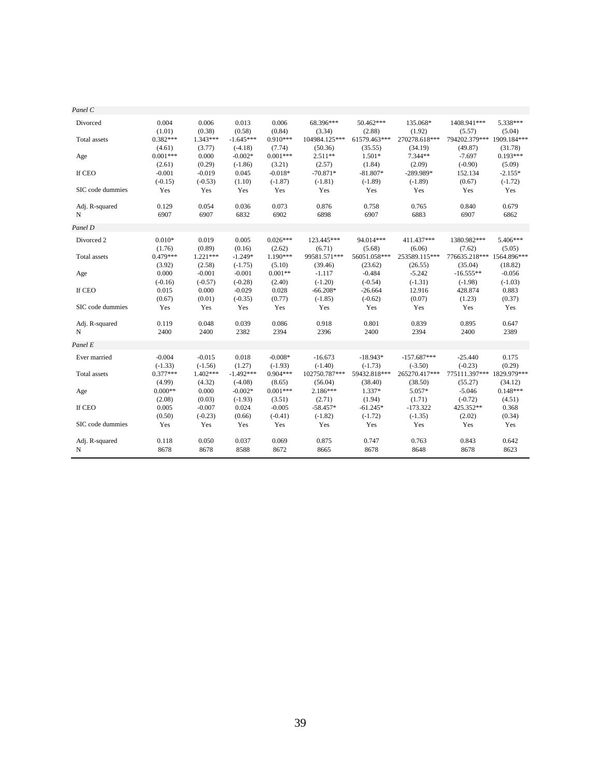| Panel C          |            |            |             |            |               |              |               |               |             |
|------------------|------------|------------|-------------|------------|---------------|--------------|---------------|---------------|-------------|
| Divorced         | 0.004      | 0.006      | 0.013       | 0.006      | 68.396***     | 50.462***    | 135.068*      | 1408.941***   | 5.338***    |
|                  | (1.01)     | (0.38)     | (0.58)      | (0.84)     | (3.34)        | (2.88)       | (1.92)        | (5.57)        | (5.04)      |
| Total assets     | $0.382***$ | $1.343***$ | $-1.645***$ | $0.910***$ | 104984.125*** | 61579.463*** | 270278.618*** | 794202.379*** | 1909.184*** |
|                  | (4.61)     | (3.77)     | $(-4.18)$   | (7.74)     | (50.36)       | (35.55)      | (34.19)       | (49.87)       | (31.78)     |
| Age              | $0.001***$ | 0.000      | $-0.002*$   | $0.001***$ | 2.511**       | $1.501*$     | 7.344**       | $-7.697$      | $0.193***$  |
|                  | (2.61)     | (0.29)     | $(-1.86)$   | (3.21)     | (2.57)        | (1.84)       | (2.09)        | $(-0.90)$     | (5.09)      |
| If CEO           | $-0.001$   | $-0.019$   | 0.045       | $-0.018*$  | $-70.871*$    | $-81.807*$   | $-289.989*$   | 152.134       | $-2.155*$   |
|                  | $(-0.15)$  | $(-0.53)$  | (1.10)      | $(-1.87)$  | $(-1.81)$     | $(-1.89)$    | $(-1.89)$     | (0.67)        | $(-1.72)$   |
| SIC code dummies | Yes        | Yes        | Yes         | Yes        | Yes           | Yes          | Yes           | Yes           | Yes         |
| Adj. R-squared   | 0.129      | 0.054      | 0.036       | 0.073      | 0.876         | 0.758        | 0.765         | 0.840         | 0.679       |
| N                | 6907       | 6907       | 6832        | 6902       | 6898          | 6907         | 6883          | 6907          | 6862        |
| Panel D          |            |            |             |            |               |              |               |               |             |
| Divorced 2       | $0.010*$   | 0.019      | 0.005       | $0.026***$ | 123.445***    | 94.014***    | 411.437***    | 1380.982***   | 5.406***    |
|                  | (1.76)     | (0.89)     | (0.16)      | (2.62)     | (6.71)        | (5.68)       | (6.06)        | (7.62)        | (5.05)      |
| Total assets     | $0.479***$ | $1.221***$ | $-1.249*$   | 1.190***   | 99581.571***  | 56051.058*** | 253589.115*** | 776635.218*** | 1564.896*** |
|                  | (3.92)     | (2.58)     | $(-1.75)$   | (5.10)     | (39.46)       | (23.62)      | (26.55)       | (35.04)       | (18.82)     |
| Age              | 0.000      | $-0.001$   | $-0.001$    | $0.001**$  | $-1.117$      | $-0.484$     | $-5.242$      | $-16.555**$   | $-0.056$    |
|                  | $(-0.16)$  | $(-0.57)$  | $(-0.28)$   | (2.40)     | $(-1.20)$     | $(-0.54)$    | $(-1.31)$     | $(-1.98)$     | $(-1.03)$   |
| If CEO           | 0.015      | 0.000      | $-0.029$    | 0.028      | $-66.208*$    | $-26.664$    | 12.916        | 428.874       | 0.883       |
|                  | (0.67)     | (0.01)     | $(-0.35)$   | (0.77)     | $(-1.85)$     | $(-0.62)$    | (0.07)        | (1.23)        | (0.37)      |
| SIC code dummies | Yes        | Yes        | Yes         | Yes        | Yes           | Yes          | Yes           | Yes           | Yes         |
| Adj. R-squared   | 0.119      | 0.048      | 0.039       | 0.086      | 0.918         | 0.801        | 0.839         | 0.895         | 0.647       |
| N                | 2400       | 2400       | 2382        | 2394       | 2396          | 2400         | 2394          | 2400          | 2389        |
| Panel E          |            |            |             |            |               |              |               |               |             |
| Ever married     | $-0.004$   | $-0.015$   | 0.018       | $-0.008*$  | $-16.673$     | $-18.943*$   | $-157.687***$ | $-25.440$     | 0.175       |
|                  | $(-1.33)$  | $(-1.56)$  | (1.27)      | $(-1.93)$  | $(-1.40)$     | $(-1.73)$    | $(-3.50)$     | $(-0.23)$     | (0.29)      |
| Total assets     | $0.377***$ | $1.402***$ | $-1.492***$ | $0.904***$ | 102750.787*** | 59432.818*** | 265270.417*** | 775111.397*** | 1829.979*** |
|                  | (4.99)     | (4.32)     | $(-4.08)$   | (8.65)     | (56.04)       | (38.40)      | (38.50)       | (55.27)       | (34.12)     |
| Age              | $0.000**$  | 0.000      | $-0.002*$   | $0.001***$ | $2.186***$    | 1.337*       | 5.057*        | $-5.046$      | $0.148***$  |
|                  | (2.08)     | (0.03)     | $(-1.93)$   | (3.51)     | (2.71)        | (1.94)       | (1.71)        | $(-0.72)$     | (4.51)      |
| If CEO           | 0.005      | $-0.007$   | 0.024       | $-0.005$   | $-58.457*$    | $-61.245*$   | $-173.322$    | 425.352**     | 0.368       |
|                  | (0.50)     | $(-0.23)$  | (0.66)      | $(-0.41)$  | $(-1.82)$     | $(-1.72)$    | $(-1.35)$     | (2.02)        | (0.34)      |
| SIC code dummies | Yes        | Yes        | Yes         | Yes        | Yes           | Yes          | Yes           | Yes           | Yes         |
| Adj. R-squared   | 0.118      | 0.050      | 0.037       | 0.069      | 0.875         | 0.747        | 0.763         | 0.843         | 0.642       |
| N                | 8678       | 8678       | 8588        | 8672       | 8665          | 8678         | 8648          | 8678          | 8623        |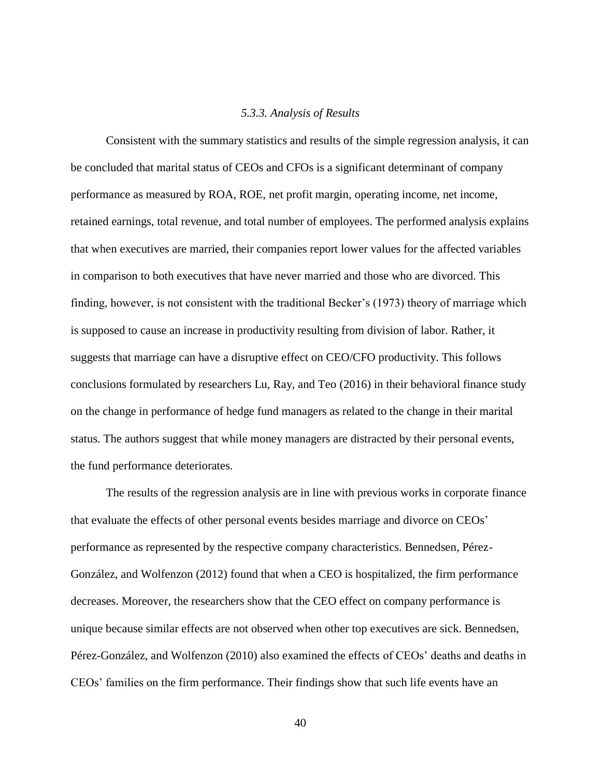#### *5.3.3. Analysis of Results*

<span id="page-46-0"></span>Consistent with the summary statistics and results of the simple regression analysis, it can be concluded that marital status of CEOs and CFOs is a significant determinant of company performance as measured by ROA, ROE, net profit margin, operating income, net income, retained earnings, total revenue, and total number of employees. The performed analysis explains that when executives are married, their companies report lower values for the affected variables in comparison to both executives that have never married and those who are divorced. This finding, however, is not consistent with the traditional Becker's (1973) theory of marriage which is supposed to cause an increase in productivity resulting from division of labor. Rather, it suggests that marriage can have a disruptive effect on CEO/CFO productivity. This follows conclusions formulated by researchers Lu, Ray, and Teo (2016) in their behavioral finance study on the change in performance of hedge fund managers as related to the change in their marital status. The authors suggest that while money managers are distracted by their personal events, the fund performance deteriorates.

The results of the regression analysis are in line with previous works in corporate finance that evaluate the effects of other personal events besides marriage and divorce on CEOs' performance as represented by the respective company characteristics. Bennedsen, Pérez-González, and Wolfenzon (2012) found that when a CEO is hospitalized, the firm performance decreases. Moreover, the researchers show that the CEO effect on company performance is unique because similar effects are not observed when other top executives are sick. Bennedsen, Pérez-González, and Wolfenzon (2010) also examined the effects of CEOs' deaths and deaths in CEOs' families on the firm performance. Their findings show that such life events have an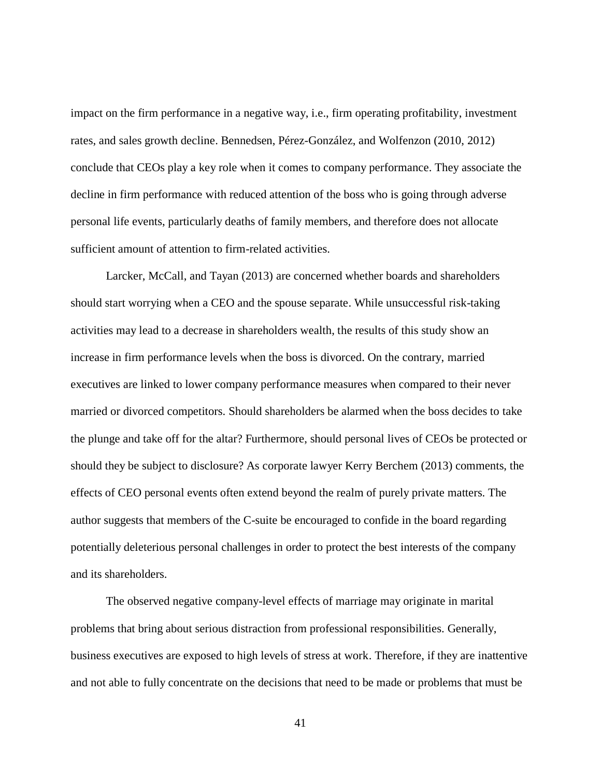impact on the firm performance in a negative way, i.e., firm operating profitability, investment rates, and sales growth decline. Bennedsen, Pérez-González, and Wolfenzon (2010, 2012) conclude that CEOs play a key role when it comes to company performance. They associate the decline in firm performance with reduced attention of the boss who is going through adverse personal life events, particularly deaths of family members, and therefore does not allocate sufficient amount of attention to firm-related activities.

Larcker, McCall, and Tayan (2013) are concerned whether boards and shareholders should start worrying when a CEO and the spouse separate. While unsuccessful risk-taking activities may lead to a decrease in shareholders wealth, the results of this study show an increase in firm performance levels when the boss is divorced. On the contrary, married executives are linked to lower company performance measures when compared to their never married or divorced competitors. Should shareholders be alarmed when the boss decides to take the plunge and take off for the altar? Furthermore, should personal lives of CEOs be protected or should they be subject to disclosure? As corporate lawyer Kerry Berchem (2013) comments, the effects of CEO personal events often extend beyond the realm of purely private matters. The author suggests that members of the C-suite be encouraged to confide in the board regarding potentially deleterious personal challenges in order to protect the best interests of the company and its shareholders.

The observed negative company-level effects of marriage may originate in marital problems that bring about serious distraction from professional responsibilities. Generally, business executives are exposed to high levels of stress at work. Therefore, if they are inattentive and not able to fully concentrate on the decisions that need to be made or problems that must be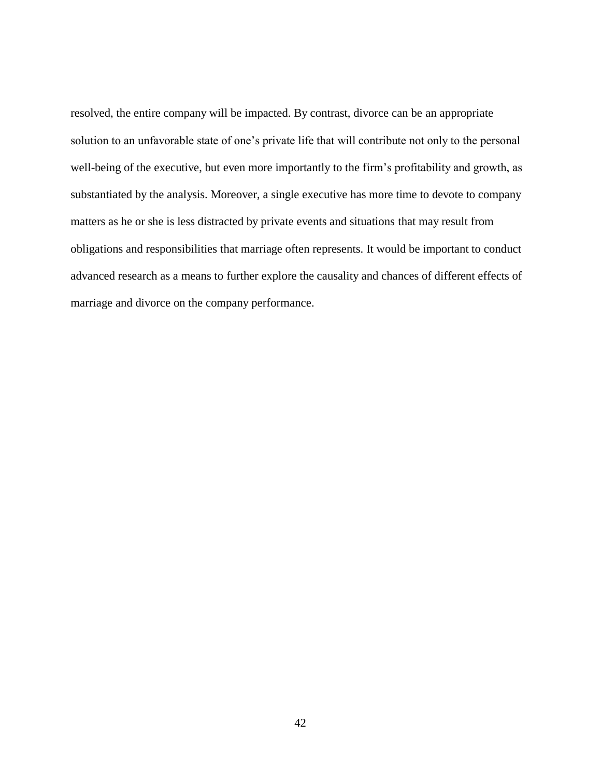resolved, the entire company will be impacted. By contrast, divorce can be an appropriate solution to an unfavorable state of one's private life that will contribute not only to the personal well-being of the executive, but even more importantly to the firm's profitability and growth, as substantiated by the analysis. Moreover, a single executive has more time to devote to company matters as he or she is less distracted by private events and situations that may result from obligations and responsibilities that marriage often represents. It would be important to conduct advanced research as a means to further explore the causality and chances of different effects of marriage and divorce on the company performance.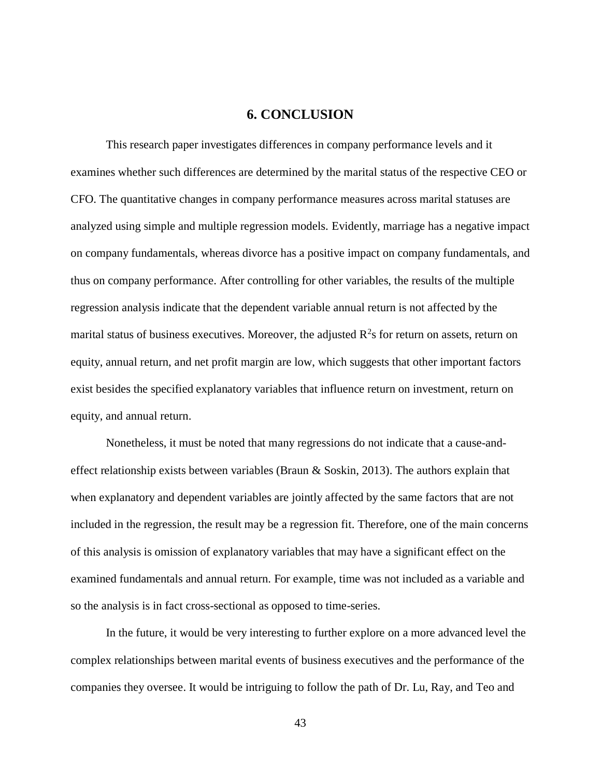### **6. CONCLUSION**

<span id="page-49-0"></span>This research paper investigates differences in company performance levels and it examines whether such differences are determined by the marital status of the respective CEO or CFO. The quantitative changes in company performance measures across marital statuses are analyzed using simple and multiple regression models. Evidently, marriage has a negative impact on company fundamentals, whereas divorce has a positive impact on company fundamentals, and thus on company performance. After controlling for other variables, the results of the multiple regression analysis indicate that the dependent variable annual return is not affected by the marital status of business executives. Moreover, the adjusted  $R^2$ s for return on assets, return on equity, annual return, and net profit margin are low, which suggests that other important factors exist besides the specified explanatory variables that influence return on investment, return on equity, and annual return.

Nonetheless, it must be noted that many regressions do not indicate that a cause-andeffect relationship exists between variables (Braun & Soskin, 2013). The authors explain that when explanatory and dependent variables are jointly affected by the same factors that are not included in the regression, the result may be a regression fit. Therefore, one of the main concerns of this analysis is omission of explanatory variables that may have a significant effect on the examined fundamentals and annual return. For example, time was not included as a variable and so the analysis is in fact cross-sectional as opposed to time-series.

In the future, it would be very interesting to further explore on a more advanced level the complex relationships between marital events of business executives and the performance of the companies they oversee. It would be intriguing to follow the path of Dr. Lu, Ray, and Teo and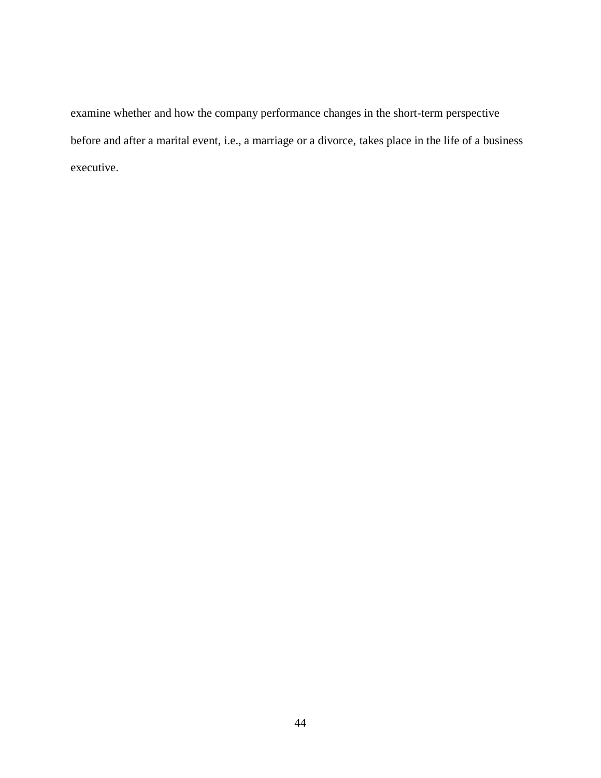examine whether and how the company performance changes in the short-term perspective before and after a marital event, i.e., a marriage or a divorce, takes place in the life of a business executive.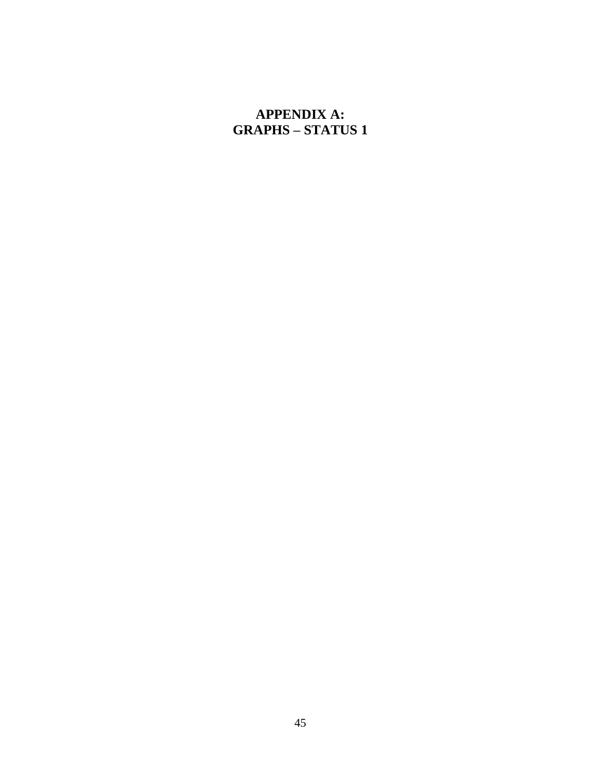# <span id="page-51-0"></span>**APPENDIX A: GRAPHS – STATUS 1**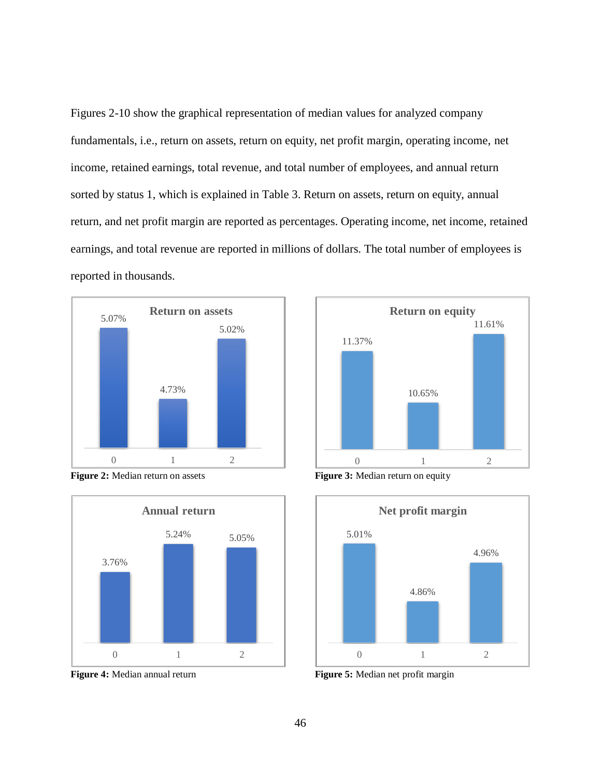Figures 2-10 show the graphical representation of median values for analyzed company fundamentals, i.e., return on assets, return on equity, net profit margin, operating income, net income, retained earnings, total revenue, and total number of employees, and annual return sorted by status 1, which is explained in Table 3. Return on assets, return on equity, annual return, and net profit margin are reported as percentages. Operating income, net income, retained earnings, and total revenue are reported in millions of dollars. The total number of employees is reported in thousands.













**Figure 4:** Median annual return **Figure 5:** Median net profit margin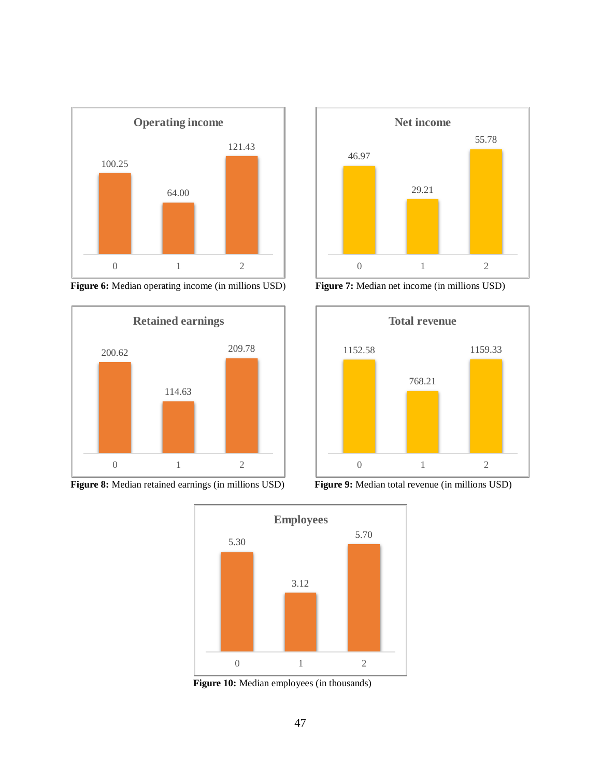

**Figure 6:** Median operating income (in millions USD) **Figure 7:** Median net income (in millions USD)











**Figure 10:** Median employees (in thousands)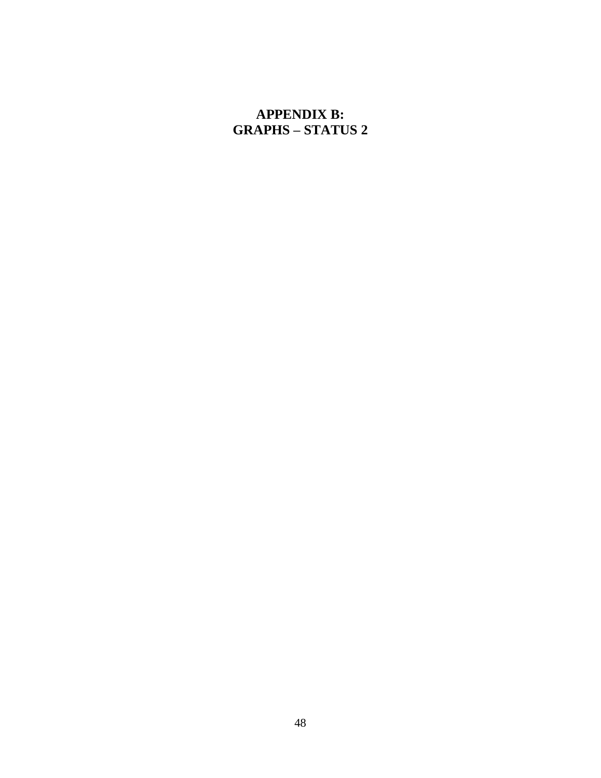# <span id="page-54-0"></span>**APPENDIX B: GRAPHS – STATUS 2**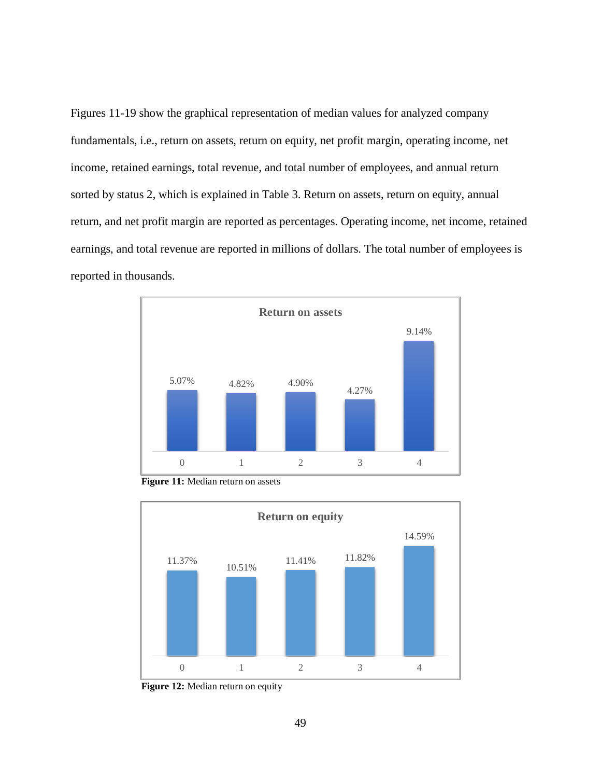Figures 11-19 show the graphical representation of median values for analyzed company fundamentals, i.e., return on assets, return on equity, net profit margin, operating income, net income, retained earnings, total revenue, and total number of employees, and annual return sorted by status 2, which is explained in Table 3. Return on assets, return on equity, annual return, and net profit margin are reported as percentages. Operating income, net income, retained earnings, and total revenue are reported in millions of dollars. The total number of employees is reported in thousands.



**Figure 11:** Median return on assets



**Figure 12:** Median return on equity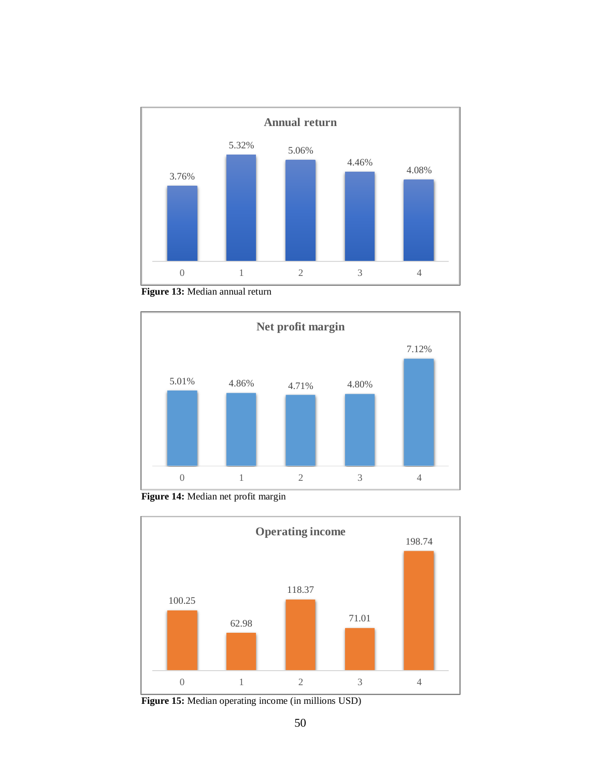

**Figure 13:** Median annual return



**Figure 14:** Median net profit margin



**Figure 15:** Median operating income (in millions USD)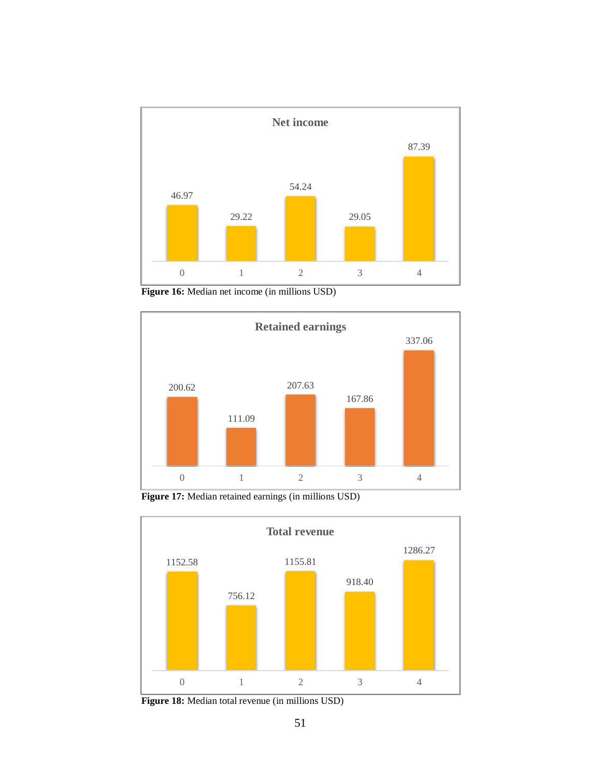![](_page_57_Figure_0.jpeg)

**Figure 16:** Median net income (in millions USD)

![](_page_57_Figure_2.jpeg)

**Figure 17:** Median retained earnings (in millions USD)

![](_page_57_Figure_4.jpeg)

**Figure 18:** Median total revenue (in millions USD)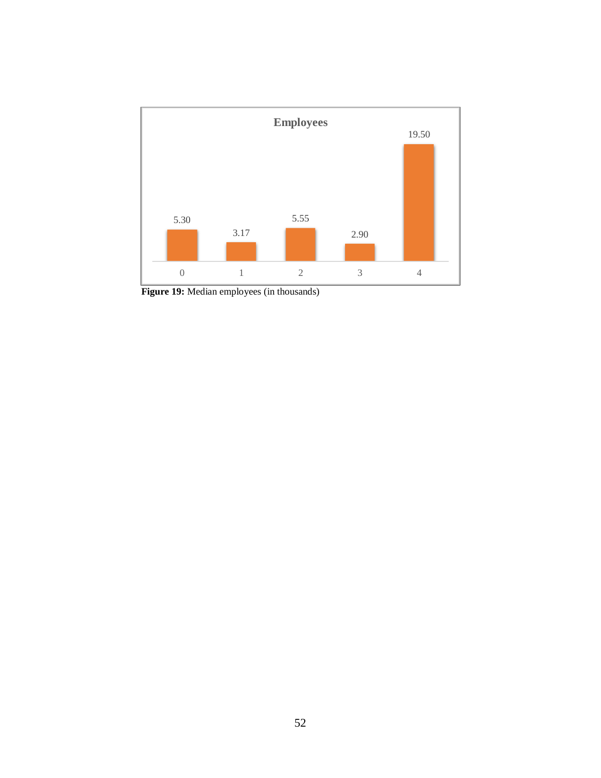![](_page_58_Figure_0.jpeg)

Figure 19: Median employees (in thousands)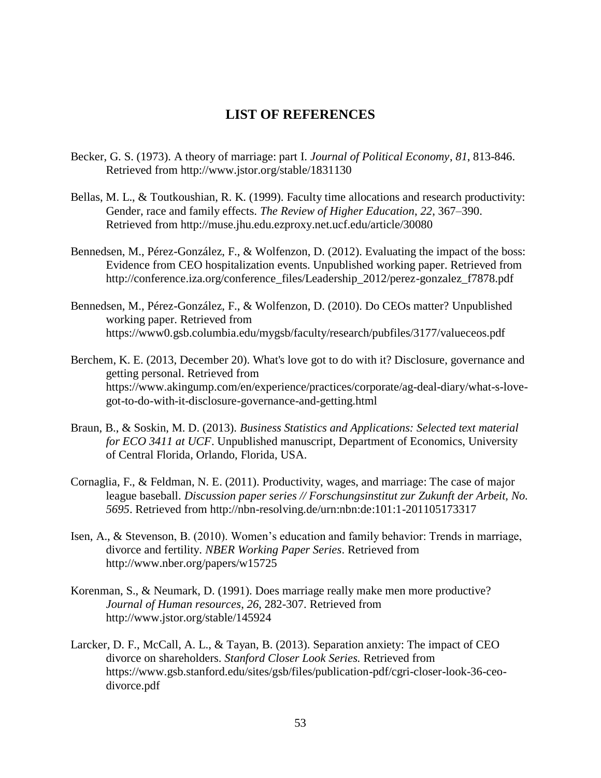## **LIST OF REFERENCES**

- <span id="page-59-0"></span>Becker, G. S. (1973). A theory of marriage: part I. *Journal of Political Economy*, *81*, 813-846. Retrieved from http://www.jstor.org/stable/1831130
- Bellas, M. L., & Toutkoushian, R. K. (1999). Faculty time allocations and research productivity: Gender, race and family effects. *The Review of Higher Education*, *22*, 367–390. Retrieved from http://muse.jhu.edu.ezproxy.net.ucf.edu/article/30080
- Bennedsen, M., Pérez-González, F., & Wolfenzon, D. (2012). Evaluating the impact of the boss: Evidence from CEO hospitalization events. Unpublished working paper. Retrieved from http://conference.iza.org/conference\_files/Leadership\_2012/perez-gonzalez\_f7878.pdf
- Bennedsen, M., Pérez-González, F., & Wolfenzon, D. (2010). Do CEOs matter? Unpublished working paper. Retrieved from https://www0.gsb.columbia.edu/mygsb/faculty/research/pubfiles/3177/valueceos.pdf
- Berchem, K. E. (2013, December 20). What's love got to do with it? Disclosure, governance and getting personal. Retrieved from https://www.akingump.com/en/experience/practices/corporate/ag-deal-diary/what-s-lovegot-to-do-with-it-disclosure-governance-and-getting.html
- Braun, B., & Soskin, M. D. (2013). *Business Statistics and Applications: Selected text material for ECO 3411 at UCF*. Unpublished manuscript, Department of Economics, University of Central Florida, Orlando, Florida, USA.
- Cornaglia, F., & Feldman, N. E. (2011). Productivity, wages, and marriage: The case of major league baseball. *Discussion paper series // Forschungsinstitut zur Zukunft der Arbeit, No. 5695*. Retrieved from http://nbn-resolving.de/urn:nbn:de:101:1-201105173317
- Isen, A., & Stevenson, B. (2010). Women's education and family behavior: Trends in marriage, divorce and fertility. *NBER Working Paper Series*. Retrieved from http://www.nber.org/papers/w15725
- Korenman, S., & Neumark, D. (1991). Does marriage really make men more productive? *Journal of Human resources*, *26*, 282-307. Retrieved from http://www.jstor.org/stable/145924
- Larcker, D. F., McCall, A. L., & Tayan, B. (2013). Separation anxiety: The impact of CEO divorce on shareholders. *Stanford Closer Look Series.* Retrieved from https://www.gsb.stanford.edu/sites/gsb/files/publication-pdf/cgri-closer-look-36-ceodivorce.pdf